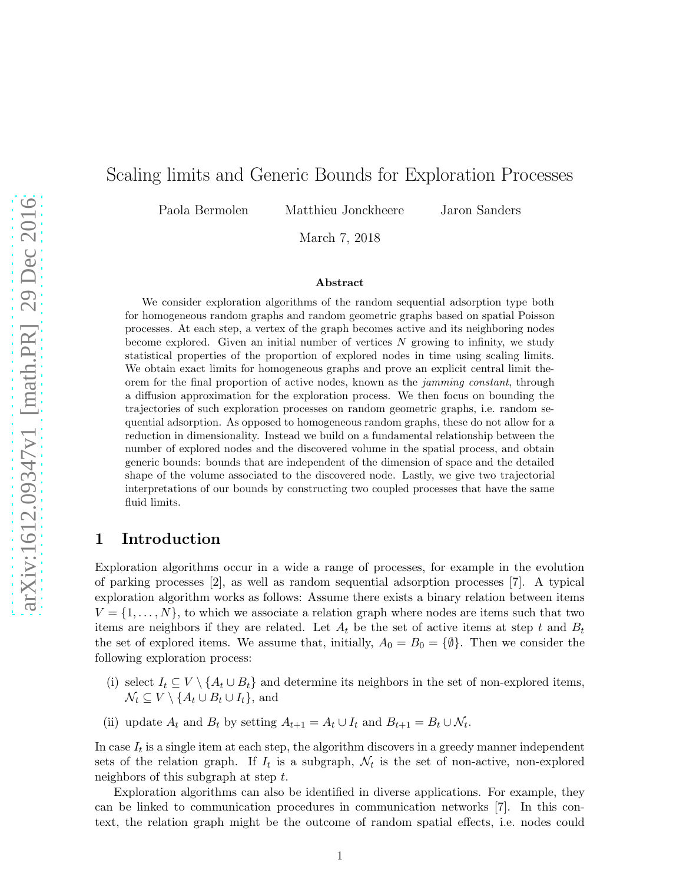# Scaling limits and Generic Bounds for Exploration Processes

Paola Bermolen Matthieu Jonckheere Jaron Sanders

March 7, 2018

#### Abstract

We consider exploration algorithms of the random sequential adsorption type both for homogeneous random graphs and random geometric graphs based on spatial Poisson processes. At each step, a vertex of the graph becomes active and its neighboring nodes become explored. Given an initial number of vertices  $N$  growing to infinity, we study statistical properties of the proportion of explored nodes in time using scaling limits. We obtain exact limits for homogeneous graphs and prove an explicit central limit theorem for the final proportion of active nodes, known as the jamming constant, through a diffusion approximation for the exploration process. We then focus on bounding the trajectories of such exploration processes on random geometric graphs, i.e. random sequential adsorption. As opposed to homogeneous random graphs, these do not allow for a reduction in dimensionality. Instead we build on a fundamental relationship between the number of explored nodes and the discovered volume in the spatial process, and obtain generic bounds: bounds that are independent of the dimension of space and the detailed shape of the volume associated to the discovered node. Lastly, we give two trajectorial interpretations of our bounds by constructing two coupled processes that have the same fluid limits.

## 1 Introduction

Exploration algorithms occur in a wide a range of processes, for example in the evolution of parking processes [2], as well as random sequential adsorption processes [7]. A typical exploration algorithm works as follows: Assume there exists a binary relation between items  $V = \{1, \ldots, N\}$ , to which we associate a relation graph where nodes are items such that two items are neighbors if they are related. Let  $A_t$  be the set of active items at step t and  $B_t$ the set of explored items. We assume that, initially,  $A_0 = B_0 = \{\emptyset\}$ . Then we consider the following exploration process:

- (i) select  $I_t \subseteq V \setminus \{A_t \cup B_t\}$  and determine its neighbors in the set of non-explored items,  $\mathcal{N}_t \subseteq V \setminus \{A_t \cup B_t \cup I_t\},\$ and
- (ii) update  $A_t$  and  $B_t$  by setting  $A_{t+1} = A_t \cup I_t$  and  $B_{t+1} = B_t \cup \mathcal{N}_t$ .

In case  $I_t$  is a single item at each step, the algorithm discovers in a greedy manner independent sets of the relation graph. If  $I_t$  is a subgraph,  $\mathcal{N}_t$  is the set of non-active, non-explored neighbors of this subgraph at step t.

Exploration algorithms can also be identified in diverse applications. For example, they can be linked to communication procedures in communication networks [7]. In this context, the relation graph might be the outcome of random spatial effects, i.e. nodes could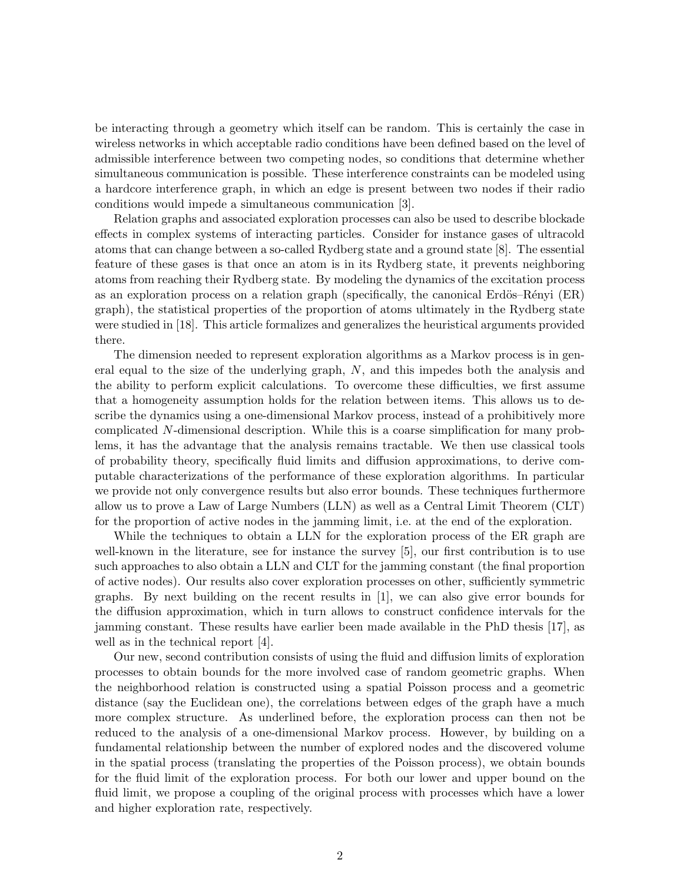be interacting through a geometry which itself can be random. This is certainly the case in wireless networks in which acceptable radio conditions have been defined based on the level of admissible interference between two competing nodes, so conditions that determine whether simultaneous communication is possible. These interference constraints can be modeled using a hardcore interference graph, in which an edge is present between two nodes if their radio conditions would impede a simultaneous communication [3].

Relation graphs and associated exploration processes can also be used to describe blockade effects in complex systems of interacting particles. Consider for instance gases of ultracold atoms that can change between a so-called Rydberg state and a ground state [8]. The essential feature of these gases is that once an atom is in its Rydberg state, it prevents neighboring atoms from reaching their Rydberg state. By modeling the dynamics of the excitation process as an exploration process on a relation graph (specifically, the canonical Erdös–Rényi  $(ER)$ ) graph), the statistical properties of the proportion of atoms ultimately in the Rydberg state were studied in [18]. This article formalizes and generalizes the heuristical arguments provided there.

The dimension needed to represent exploration algorithms as a Markov process is in general equal to the size of the underlying graph, N, and this impedes both the analysis and the ability to perform explicit calculations. To overcome these difficulties, we first assume that a homogeneity assumption holds for the relation between items. This allows us to describe the dynamics using a one-dimensional Markov process, instead of a prohibitively more complicated N-dimensional description. While this is a coarse simplification for many problems, it has the advantage that the analysis remains tractable. We then use classical tools of probability theory, specifically fluid limits and diffusion approximations, to derive computable characterizations of the performance of these exploration algorithms. In particular we provide not only convergence results but also error bounds. These techniques furthermore allow us to prove a Law of Large Numbers (LLN) as well as a Central Limit Theorem (CLT) for the proportion of active nodes in the jamming limit, i.e. at the end of the exploration.

While the techniques to obtain a LLN for the exploration process of the ER graph are well-known in the literature, see for instance the survey [5], our first contribution is to use such approaches to also obtain a LLN and CLT for the jamming constant (the final proportion of active nodes). Our results also cover exploration processes on other, sufficiently symmetric graphs. By next building on the recent results in [1], we can also give error bounds for the diffusion approximation, which in turn allows to construct confidence intervals for the jamming constant. These results have earlier been made available in the PhD thesis [17], as well as in the technical report [4].

Our new, second contribution consists of using the fluid and diffusion limits of exploration processes to obtain bounds for the more involved case of random geometric graphs. When the neighborhood relation is constructed using a spatial Poisson process and a geometric distance (say the Euclidean one), the correlations between edges of the graph have a much more complex structure. As underlined before, the exploration process can then not be reduced to the analysis of a one-dimensional Markov process. However, by building on a fundamental relationship between the number of explored nodes and the discovered volume in the spatial process (translating the properties of the Poisson process), we obtain bounds for the fluid limit of the exploration process. For both our lower and upper bound on the fluid limit, we propose a coupling of the original process with processes which have a lower and higher exploration rate, respectively.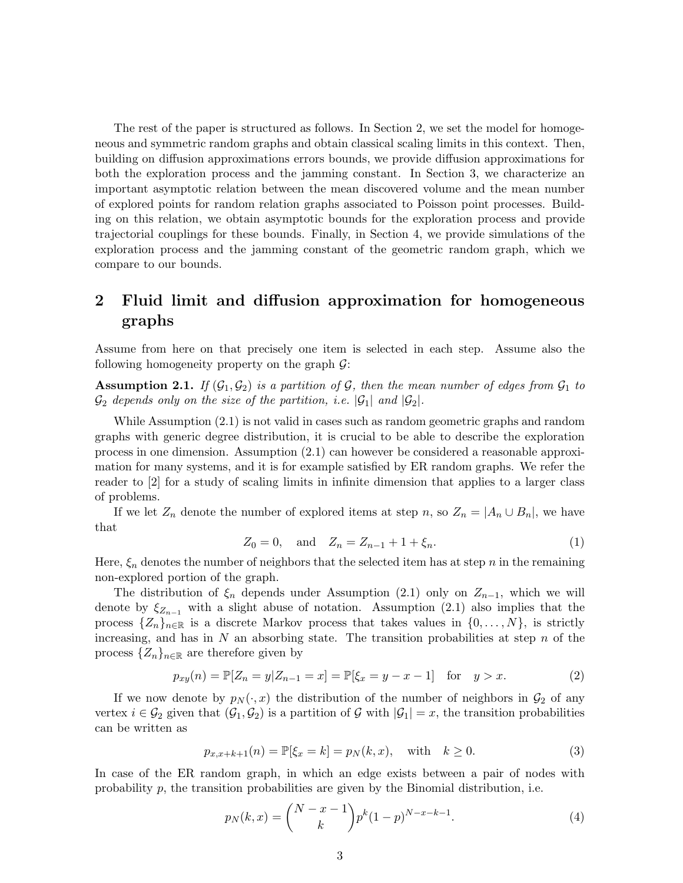The rest of the paper is structured as follows. In Section 2, we set the model for homogeneous and symmetric random graphs and obtain classical scaling limits in this context. Then, building on diffusion approximations errors bounds, we provide diffusion approximations for both the exploration process and the jamming constant. In Section 3, we characterize an important asymptotic relation between the mean discovered volume and the mean number of explored points for random relation graphs associated to Poisson point processes. Building on this relation, we obtain asymptotic bounds for the exploration process and provide trajectorial couplings for these bounds. Finally, in Section 4, we provide simulations of the exploration process and the jamming constant of the geometric random graph, which we compare to our bounds.

# 2 Fluid limit and diffusion approximation for homogeneous graphs

Assume from here on that precisely one item is selected in each step. Assume also the following homogeneity property on the graph  $\mathcal{G}$ :

**Assumption 2.1.** If  $(\mathcal{G}_1, \mathcal{G}_2)$  is a partition of  $\mathcal{G}$ , then the mean number of edges from  $\mathcal{G}_1$  to  $\mathcal{G}_2$  depends only on the size of the partition, i.e.  $|\mathcal{G}_1|$  and  $|\mathcal{G}_2|$ .

While Assumption (2.1) is not valid in cases such as random geometric graphs and random graphs with generic degree distribution, it is crucial to be able to describe the exploration process in one dimension. Assumption (2.1) can however be considered a reasonable approximation for many systems, and it is for example satisfied by ER random graphs. We refer the reader to [2] for a study of scaling limits in infinite dimension that applies to a larger class of problems.

If we let  $Z_n$  denote the number of explored items at step n, so  $Z_n = |A_n \cup B_n|$ , we have that

$$
Z_0 = 0, \text{ and } Z_n = Z_{n-1} + 1 + \xi_n. \tag{1}
$$

Here,  $\xi_n$  denotes the number of neighbors that the selected item has at step n in the remaining non-explored portion of the graph.

The distribution of  $\xi_n$  depends under Assumption (2.1) only on  $Z_{n-1}$ , which we will denote by  $\xi_{Z_{n-1}}$  with a slight abuse of notation. Assumption (2.1) also implies that the process  $\{Z_n\}_{n\in\mathbb{R}}$  is a discrete Markov process that takes values in  $\{0,\ldots,N\}$ , is strictly increasing, and has in  $N$  an absorbing state. The transition probabilities at step  $n$  of the process  $\{Z_n\}_{n\in\mathbb{R}}$  are therefore given by

$$
p_{xy}(n) = \mathbb{P}[Z_n = y | Z_{n-1} = x] = \mathbb{P}[\xi_x = y - x - 1] \text{ for } y > x.
$$
 (2)

If we now denote by  $p_N(\cdot, x)$  the distribution of the number of neighbors in  $\mathcal{G}_2$  of any vertex  $i \in \mathcal{G}_2$  given that  $(\mathcal{G}_1, \mathcal{G}_2)$  is a partition of  $\mathcal{G}$  with  $|\mathcal{G}_1| = x$ , the transition probabilities can be written as

$$
p_{x,x+k+1}(n) = \mathbb{P}[\xi_x = k] = p_N(k, x), \text{ with } k \ge 0.
$$
 (3)

In case of the ER random graph, in which an edge exists between a pair of nodes with probability p, the transition probabilities are given by the Binomial distribution, i.e.

$$
p_N(k,x) = \binom{N-x-1}{k} p^k (1-p)^{N-x-k-1}.
$$
\n(4)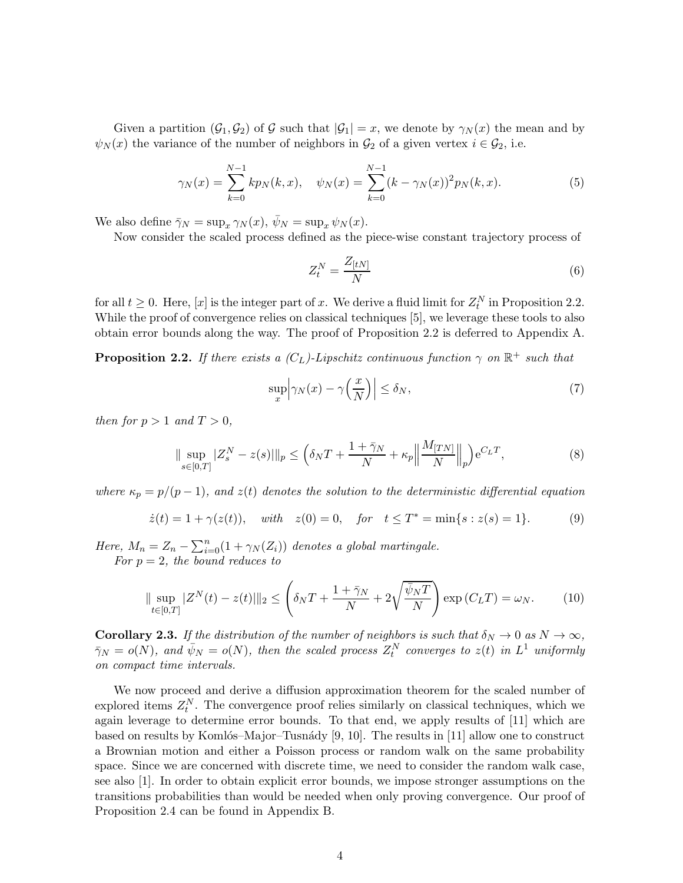Given a partition  $(\mathcal{G}_1, \mathcal{G}_2)$  of G such that  $|\mathcal{G}_1| = x$ , we denote by  $\gamma_N(x)$  the mean and by  $\psi_N(x)$  the variance of the number of neighbors in  $\mathcal{G}_2$  of a given vertex  $i \in \mathcal{G}_2$ , i.e.

$$
\gamma_N(x) = \sum_{k=0}^{N-1} k p_N(k, x), \quad \psi_N(x) = \sum_{k=0}^{N-1} (k - \gamma_N(x))^2 p_N(k, x). \tag{5}
$$

We also define  $\bar{\gamma}_N = \sup_x \gamma_N(x)$ ,  $\bar{\psi}_N = \sup_x \psi_N(x)$ .

Now consider the scaled process defined as the piece-wise constant trajectory process of

$$
Z_t^N = \frac{Z_{[tN]}}{N} \tag{6}
$$

for all  $t \geq 0$ . Here, [x] is the integer part of x. We derive a fluid limit for  $Z_t^N$  in Proposition 2.2. While the proof of convergence relies on classical techniques [5], we leverage these tools to also obtain error bounds along the way. The proof of Proposition 2.2 is deferred to Appendix A.

**Proposition 2.2.** If there exists a  $(C_L)$ -Lipschitz continuous function  $\gamma$  on  $\mathbb{R}^+$  such that

$$
\sup_{x} \left| \gamma_N(x) - \gamma \left( \frac{x}{N} \right) \right| \le \delta_N,
$$
\n(7)

then for  $p > 1$  and  $T > 0$ ,

$$
\|\sup_{s\in[0,T]}|Z_s^N - z(s)|\|_p \le \left(\delta_N T + \frac{1+\bar{\gamma}_N}{N} + \kappa_p \left\|\frac{M_{[TN]}}{N}\right\|_p\right) e^{C_L T},\tag{8}
$$

where  $\kappa_p = p/(p-1)$ , and  $z(t)$  denotes the solution to the deterministic differential equation

$$
\dot{z}(t) = 1 + \gamma(z(t)), \quad with \quad z(0) = 0, \quad for \quad t \leq T^* = \min\{s : z(s) = 1\}.
$$
 (9)

Here,  $M_n = Z_n - \sum_{i=0}^n (1 + \gamma_N(Z_i))$  denotes a global martingale. For  $p = 2$ , the bound reduces to

$$
\|\sup_{t\in[0,T]}|Z^N(t) - z(t)||_2 \le \left(\delta_N T + \frac{1+\bar{\gamma}_N}{N} + 2\sqrt{\frac{\bar{\psi}_N T}{N}}\right) \exp\left(C_L T\right) = \omega_N. \tag{10}
$$

**Corollary 2.3.** If the distribution of the number of neighbors is such that  $\delta_N \to 0$  as  $N \to \infty$ ,  $\bar{\gamma}_N = o(N)$ , and  $\bar{\psi}_N = o(N)$ , then the scaled process  $Z_t^N$  converges to  $z(t)$  in  $L^1$  uniformly on compact time intervals.

We now proceed and derive a diffusion approximation theorem for the scaled number of explored items  $Z_t^N$ . The convergence proof relies similarly on classical techniques, which we again leverage to determine error bounds. To that end, we apply results of [11] which are based on results by Komlós–Major–Tusnády  $[9, 10]$ . The results in [11] allow one to construct a Brownian motion and either a Poisson process or random walk on the same probability space. Since we are concerned with discrete time, we need to consider the random walk case, see also [1]. In order to obtain explicit error bounds, we impose stronger assumptions on the transitions probabilities than would be needed when only proving convergence. Our proof of Proposition 2.4 can be found in Appendix B.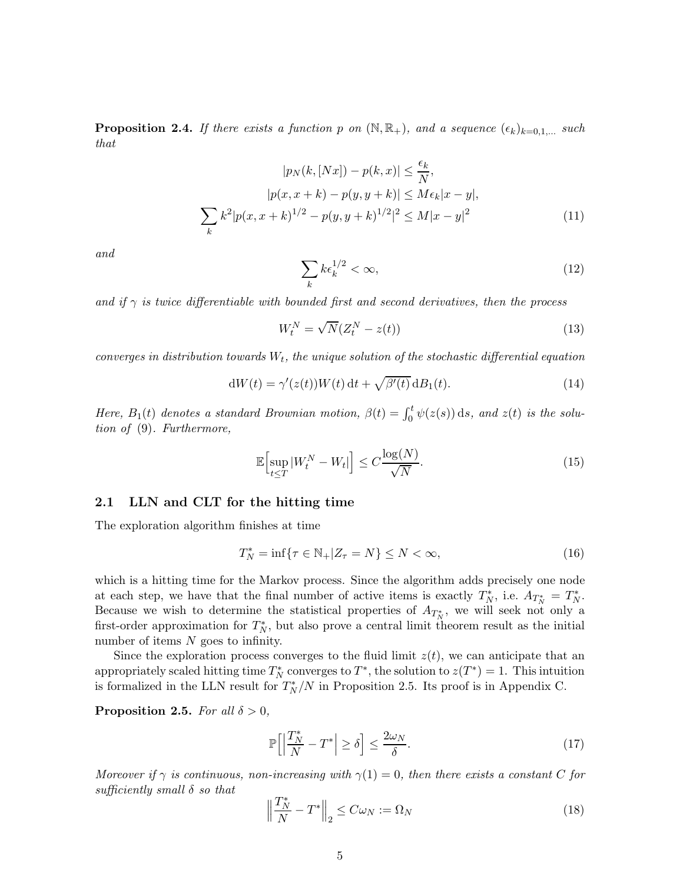**Proposition 2.4.** If there exists a function p on  $(\mathbb{N}, \mathbb{R}_+)$ , and a sequence  $(\epsilon_k)_{k=0,1,\dots}$  such that

$$
|p_N(k, [Nx]) - p(k, x)| \le \frac{\epsilon_k}{N},
$$
  
\n
$$
|p(x, x + k) - p(y, y + k)| \le M\epsilon_k |x - y|,
$$
  
\n
$$
\sum_k k^2 |p(x, x + k)^{1/2} - p(y, y + k)^{1/2}|^2 \le M|x - y|^2
$$
\n(11)

and

$$
\sum_{k} k \epsilon_k^{1/2} < \infty,\tag{12}
$$

and if  $\gamma$  is twice differentiable with bounded first and second derivatives, then the process

$$
W_t^N = \sqrt{N}(Z_t^N - z(t))
$$
\n(13)

converges in distribution towards  $W_t$ , the unique solution of the stochastic differential equation

$$
dW(t) = \gamma'(z(t))W(t) dt + \sqrt{\beta'(t)} dB_1(t).
$$
\n(14)

Here,  $B_1(t)$  denotes a standard Brownian motion,  $\beta(t) = \int_0^t \psi(z(s)) ds$ , and  $z(t)$  is the solution of (9). Furthermore,

$$
\mathbb{E}\left[\sup_{t\leq T}|W_t^N - W_t|\right] \leq C\frac{\log(N)}{\sqrt{N}}.\tag{15}
$$

#### 2.1 LLN and CLT for the hitting time

The exploration algorithm finishes at time

$$
T_N^* = \inf\{\tau \in \mathbb{N}_+ | Z_\tau = N\} \le N < \infty,\tag{16}
$$

which is a hitting time for the Markov process. Since the algorithm adds precisely one node at each step, we have that the final number of active items is exactly  $T_N^*$ , i.e.  $A_{T_N^*} = T_N^*$ . Because we wish to determine the statistical properties of  $A_{T_N^*}$ , we will seek not only a first-order approximation for  $T_N^*$ , but also prove a central limit theorem result as the initial number of items  $N$  goes to infinity.

Since the exploration process converges to the fluid limit  $z(t)$ , we can anticipate that an appropriately scaled hitting time  $T_N^*$  converges to  $T^*$ , the solution to  $z(T^*) = 1$ . This intuition is formalized in the LLN result for  $T_N^*/N$  in Proposition 2.5. Its proof is in Appendix C.

**Proposition 2.5.** For all  $\delta > 0$ ,

$$
\mathbb{P}\Big[\Big|\frac{T_N^*}{N} - T^*\Big| \ge \delta\Big] \le \frac{2\omega_N}{\delta}.\tag{17}
$$

Moreover if  $\gamma$  is continuous, non-increasing with  $\gamma(1) = 0$ , then there exists a constant C for sufficiently small  $\delta$  so that

$$
\left\|\frac{T_N^*}{N} - T^*\right\|_2 \le C\omega_N := \Omega_N\tag{18}
$$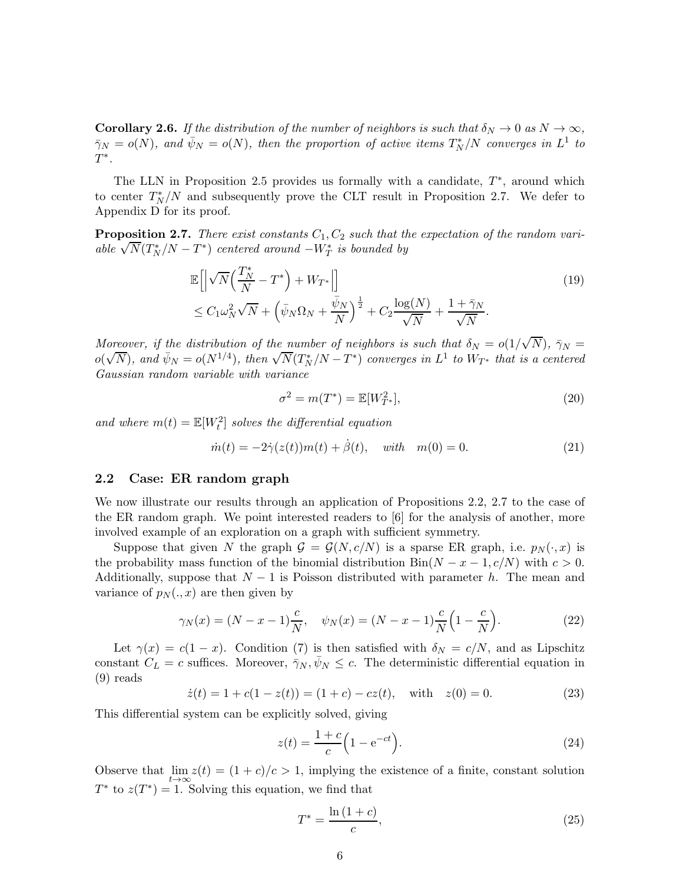**Corollary 2.6.** If the distribution of the number of neighbors is such that  $\delta_N \to 0$  as  $N \to \infty$ ,  $\bar{\gamma}_N = o(N)$ , and  $\bar{\psi}_N = o(N)$ , then the proportion of active items  $T_N^*/N$  converges in  $L^1$  to  $T^*$ .

The LLN in Proposition 2.5 provides us formally with a candidate,  $T^*$ , around which to center  $T_N^*/N$  and subsequently prove the CLT result in Proposition 2.7. We defer to Appendix D for its proof.

**Proposition 2.7.** There exist constants  $C_1$ ,  $C_2$  such that the expectation of the random variable  $\sqrt{N}(T_N^*/N - T^*)$  centered around  $-W_T^*$  is bounded by

$$
\mathbb{E}\left[\left|\sqrt{N}\left(\frac{T_N^*}{N} - T^*\right) + W_{T^*}\right|\right] \tag{19}
$$
\n
$$
\leq C_1 \omega_N^2 \sqrt{N} + \left(\bar{\psi}_N \Omega_N + \frac{\bar{\psi}_N}{N}\right)^{\frac{1}{2}} + C_2 \frac{\log(N)}{\sqrt{N}} + \frac{1 + \bar{\gamma}_N}{\sqrt{N}}.
$$

Moreover, if the distribution of the number of neighbors is such that  $\delta_N = o(1/\sqrt{N})$ ,  $\bar{\gamma}_N =$  $o(\sqrt{N})$ , and  $\bar{\psi}_N = o(N^{1/4})$ , then  $\sqrt{N}(T_N^*/N - T^*)$  converges in  $L^1$  to  $W_{T^*}$  that is a centered Gaussian random variable with variance

$$
\sigma^2 = m(T^*) = \mathbb{E}[W_{T^*}^2],\tag{20}
$$

and where  $m(t) = \mathbb{E}[W_t^2]$  solves the differential equation

$$
\dot{m}(t) = -2\dot{\gamma}(z(t))m(t) + \dot{\beta}(t), \quad \text{with} \quad m(0) = 0. \tag{21}
$$

#### 2.2 Case: ER random graph

We now illustrate our results through an application of Propositions 2.2, 2.7 to the case of the ER random graph. We point interested readers to [6] for the analysis of another, more involved example of an exploration on a graph with sufficient symmetry.

Suppose that given N the graph  $G = G(N, c/N)$  is a sparse ER graph, i.e.  $p_N(\cdot, x)$  is the probability mass function of the binomial distribution  $\text{Bin}(N - x - 1, c/N)$  with  $c > 0$ . Additionally, suppose that  $N-1$  is Poisson distributed with parameter h. The mean and variance of  $p_N(.,x)$  are then given by

$$
\gamma_N(x) = (N - x - 1)\frac{c}{N}, \quad \psi_N(x) = (N - x - 1)\frac{c}{N}\left(1 - \frac{c}{N}\right).
$$
 (22)

Let  $\gamma(x) = c(1-x)$ . Condition (7) is then satisfied with  $\delta_N = c/N$ , and as Lipschitz constant  $C_L = c$  suffices. Moreover,  $\bar{\gamma}_N, \bar{\psi}_N \leq c$ . The deterministic differential equation in (9) reads

$$
\dot{z}(t) = 1 + c(1 - z(t)) = (1 + c) - cz(t), \quad \text{with} \quad z(0) = 0.
$$
 (23)

This differential system can be explicitly solved, giving

$$
z(t) = \frac{1+c}{c} \left( 1 - e^{-ct} \right).
$$
 (24)

Observe that  $\lim_{t\to\infty} z(t) = (1+c)/c > 1$ , implying the existence of a finite, constant solution  $T^*$  to  $z(T^*) = 1$ . Solving this equation, we find that

$$
T^* = \frac{\ln(1+c)}{c},
$$
\n(25)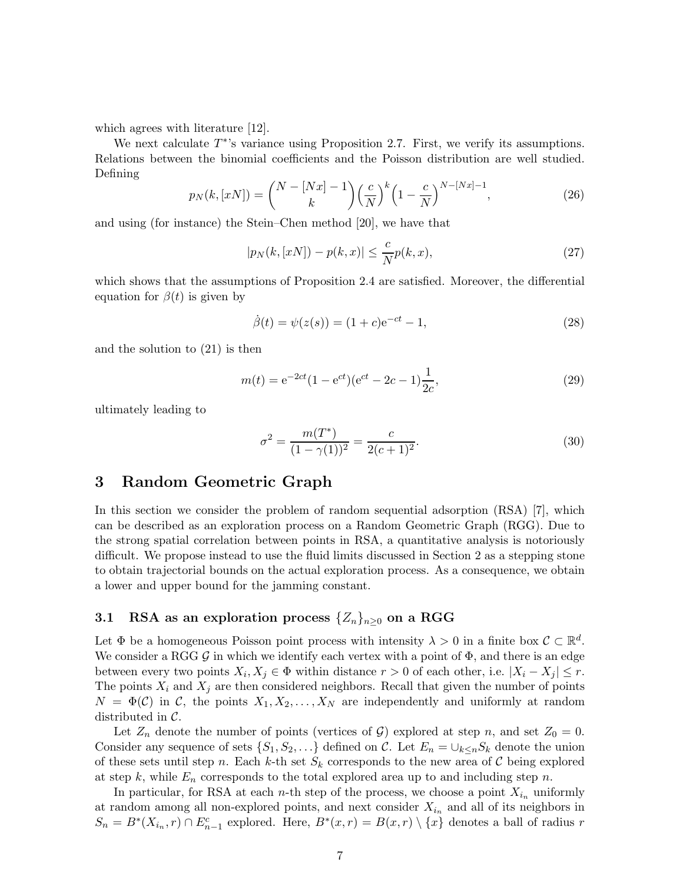which agrees with literature [12].

We next calculate  $T^*$ 's variance using Proposition 2.7. First, we verify its assumptions. Relations between the binomial coefficients and the Poisson distribution are well studied. Defining

$$
p_N(k, [xN]) = {N - [Nx] - 1 \choose k} \left(\frac{c}{N}\right)^k \left(1 - \frac{c}{N}\right)^{N - [Nx] - 1},
$$
\n(26)

and using (for instance) the Stein–Chen method [20], we have that

$$
|p_N(k, [xN]) - p(k, x)| \le \frac{c}{N} p(k, x),
$$
\n(27)

which shows that the assumptions of Proposition 2.4 are satisfied. Moreover, the differential equation for  $\beta(t)$  is given by

$$
\dot{\beta}(t) = \psi(z(s)) = (1+c)e^{-ct} - 1,\tag{28}
$$

and the solution to (21) is then

$$
m(t) = e^{-2ct}(1 - e^{ct})(e^{ct} - 2c - 1)\frac{1}{2c},
$$
\n(29)

ultimately leading to

$$
\sigma^2 = \frac{m(T^*)}{(1 - \gamma(1))^2} = \frac{c}{2(c+1)^2}.
$$
\n(30)

### 3 Random Geometric Graph

In this section we consider the problem of random sequential adsorption (RSA) [7], which can be described as an exploration process on a Random Geometric Graph (RGG). Due to the strong spatial correlation between points in RSA, a quantitative analysis is notoriously difficult. We propose instead to use the fluid limits discussed in Section 2 as a stepping stone to obtain trajectorial bounds on the actual exploration process. As a consequence, we obtain a lower and upper bound for the jamming constant.

### 3.1 RSA as an exploration process  $\{Z_n\}_{n\geq0}$  on a RGG

Let  $\Phi$  be a homogeneous Poisson point process with intensity  $\lambda > 0$  in a finite box  $\mathcal{C} \subset \mathbb{R}^d$ . We consider a RGG  $\mathcal G$  in which we identify each vertex with a point of  $\Phi$ , and there is an edge between every two points  $X_i, X_j \in \Phi$  within distance  $r > 0$  of each other, i.e.  $|X_i - X_j| \leq r$ . The points  $X_i$  and  $X_j$  are then considered neighbors. Recall that given the number of points  $N = \Phi(\mathcal{C})$  in  $\mathcal{C}$ , the points  $X_1, X_2, \ldots, X_N$  are independently and uniformly at random distributed in C.

Let  $Z_n$  denote the number of points (vertices of G) explored at step n, and set  $Z_0 = 0$ . Consider any sequence of sets  $\{S_1, S_2, \ldots\}$  defined on C. Let  $E_n = \bigcup_{k \leq n} S_k$  denote the union of these sets until step n. Each k-th set  $S_k$  corresponds to the new area of C being explored at step k, while  $E_n$  corresponds to the total explored area up to and including step n.

In particular, for RSA at each *n*-th step of the process, we choose a point  $X_{i_n}$  uniformly at random among all non-explored points, and next consider  $X_{i_n}$  and all of its neighbors in  $S_n = B^*(X_{i_n}, r) \cap E_{n-1}^c$  explored. Here,  $B^*(x, r) = B(x, r) \setminus \{x\}$  denotes a ball of radius r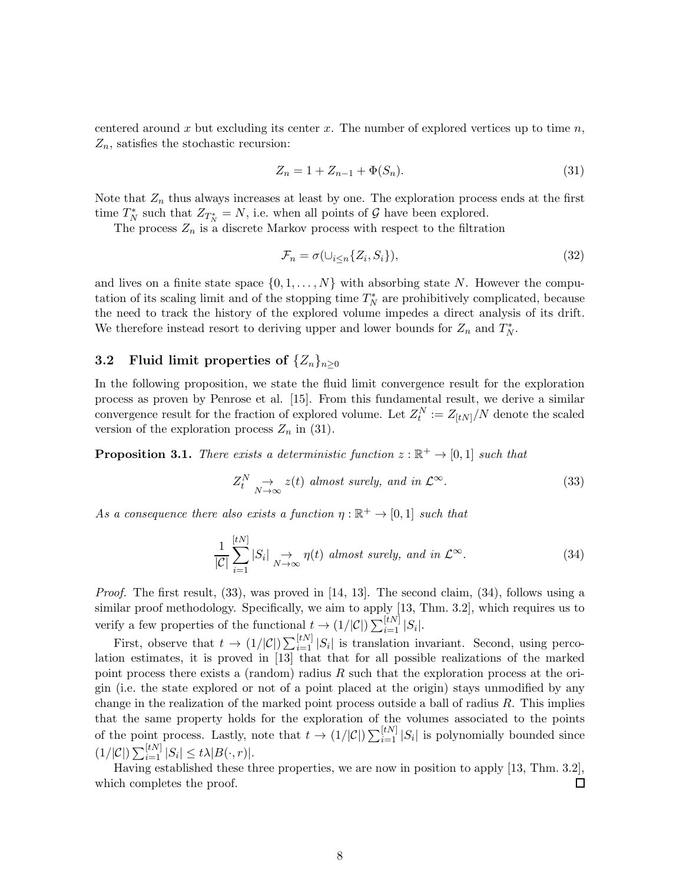centered around x but excluding its center x. The number of explored vertices up to time  $n$ ,  $Z_n$ , satisfies the stochastic recursion:

$$
Z_n = 1 + Z_{n-1} + \Phi(S_n). \tag{31}
$$

Note that  $Z_n$  thus always increases at least by one. The exploration process ends at the first time  $T_N^*$  such that  $Z_{T_N^*} = N$ , i.e. when all points of  $\mathcal G$  have been explored.

The process  $Z_n$  is a discrete Markov process with respect to the filtration

$$
\mathcal{F}_n = \sigma(\cup_{i \le n} \{Z_i, S_i\}),\tag{32}
$$

and lives on a finite state space  $\{0, 1, \ldots, N\}$  with absorbing state N. However the computation of its scaling limit and of the stopping time  $T_N^*$  are prohibitively complicated, because the need to track the history of the explored volume impedes a direct analysis of its drift. We therefore instead resort to deriving upper and lower bounds for  $Z_n$  and  $T_N^*$ .

# 3.2 Fluid limit properties of  $\{Z_n\}_{n\geq 0}$

In the following proposition, we state the fluid limit convergence result for the exploration process as proven by Penrose et al. [15]. From this fundamental result, we derive a similar convergence result for the fraction of explored volume. Let  $Z_t^N := Z_{[tN]}/N$  denote the scaled version of the exploration process  $Z_n$  in (31).

**Proposition 3.1.** There exists a deterministic function  $z : \mathbb{R}^+ \to [0,1]$  such that

$$
Z_t^N \underset{N \to \infty}{\to} z(t) \text{ almost surely, and in } \mathcal{L}^{\infty}.
$$
 (33)

As a consequence there also exists a function  $\eta : \mathbb{R}^+ \to [0,1]$  such that

$$
\frac{1}{|\mathcal{C}|} \sum_{i=1}^{[tN]} |S_i| \underset{N \to \infty}{\to} \eta(t) \text{ almost surely, and in } \mathcal{L}^{\infty}.
$$
 (34)

*Proof.* The first result,  $(33)$ , was proved in [14, 13]. The second claim,  $(34)$ , follows using a similar proof methodology. Specifically, we aim to apply [13, Thm. 3.2], which requires us to verify a few properties of the functional  $t \to (1/|\mathcal{C}|) \sum_{i=1}^{[tN]} |S_i|$ .

First, observe that  $t \to (1/|\mathcal{C}|) \sum_{i=1}^{[tN]} |S_i|$  is translation invariant. Second, using percolation estimates, it is proved in [13] that that for all possible realizations of the marked point process there exists a (random) radius R such that the exploration process at the origin (i.e. the state explored or not of a point placed at the origin) stays unmodified by any change in the realization of the marked point process outside a ball of radius  $R$ . This implies that the same property holds for the exploration of the volumes associated to the points of the point process. Lastly, note that  $t \to (1/|\mathcal{C}|) \sum_{i=1}^{[tN]} |S_i|$  is polynomially bounded since  $(1/|\mathcal{C}|)\sum_{i=1}^{[tN]}|S_i|\leq t\lambda|B(\cdot,r)|.$ 

Having established these three properties, we are now in position to apply [13, Thm. 3.2], which completes the proof.  $\Box$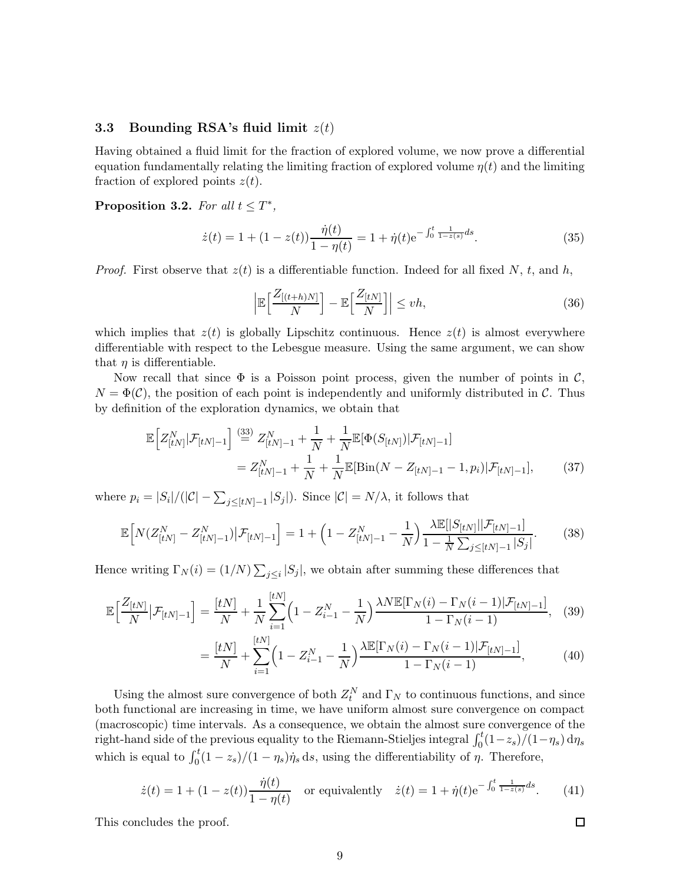### 3.3 Bounding RSA's fluid limit  $z(t)$

Having obtained a fluid limit for the fraction of explored volume, we now prove a differential equation fundamentally relating the limiting fraction of explored volume  $\eta(t)$  and the limiting fraction of explored points  $z(t)$ .

Proposition 3.2. For all  $t \leq T^*$ ,

$$
\dot{z}(t) = 1 + (1 - z(t)) \frac{\dot{\eta}(t)}{1 - \eta(t)} = 1 + \dot{\eta}(t) e^{-\int_0^t \frac{1}{1 - z(s)} ds}.
$$
\n(35)

*Proof.* First observe that  $z(t)$  is a differentiable function. Indeed for all fixed N, t, and h,

$$
\left| \mathbb{E}\left[\frac{Z_{[(t+h)N]}}{N}\right] - \mathbb{E}\left[\frac{Z_{[tN]}}{N}\right] \right| \le v h,
$$
\n(36)

which implies that  $z(t)$  is globally Lipschitz continuous. Hence  $z(t)$  is almost everywhere differentiable with respect to the Lebesgue measure. Using the same argument, we can show that  $\eta$  is differentiable.

Now recall that since  $\Phi$  is a Poisson point process, given the number of points in  $\mathcal{C}$ ,  $N = \Phi(\mathcal{C})$ , the position of each point is independently and uniformly distributed in C. Thus by definition of the exploration dynamics, we obtain that

$$
\mathbb{E}\Big[Z_{[tN]}^N|\mathcal{F}_{[tN]-1}\Big] \stackrel{(33)}{=} Z_{[tN]-1}^N + \frac{1}{N} + \frac{1}{N}\mathbb{E}[\Phi(S_{[tN]})|\mathcal{F}_{[tN]-1}]
$$
\n
$$
= Z_{[tN]-1}^N + \frac{1}{N} + \frac{1}{N}\mathbb{E}[\text{Bin}(N - Z_{[tN]-1} - 1, p_i)|\mathcal{F}_{[tN]-1}], \tag{37}
$$

where  $p_i = |S_i|/(|\mathcal{C}| - \sum_{j \leq [tN]-1} |S_j|)$ . Since  $|\mathcal{C}| = N/\lambda$ , it follows that

$$
\mathbb{E}\Big[N(Z_{[tN]}^N - Z_{[tN]-1}^N)\big|\mathcal{F}_{[tN]-1}\Big] = 1 + \left(1 - Z_{[tN]-1}^N - \frac{1}{N}\right) \frac{\lambda \mathbb{E}[|S_{[tN]}||\mathcal{F}_{[tN]-1}]}{1 - \frac{1}{N}\sum_{j\leq [tN]-1} |S_j|}.\tag{38}
$$

Hence writing  $\Gamma_N(i) = (1/N) \sum_{j \leq i} |S_j|$ , we obtain after summing these differences that

$$
\mathbb{E}\Big[\frac{Z_{[tN]}}{N}\big|\mathcal{F}_{[tN]-1}\Big] = \frac{[tN]}{N} + \frac{1}{N} \sum_{i=1}^{[tN]} \Big(1 - Z_{i-1}^N - \frac{1}{N}\Big) \frac{\lambda N \mathbb{E}[\Gamma_N(i) - \Gamma_N(i-1)|\mathcal{F}_{[tN]-1}]}{1 - \Gamma_N(i-1)},\tag{39}
$$

$$
= \frac{[tN]}{N} + \sum_{i=1}^{[tN]} \left(1 - Z_{i-1}^N - \frac{1}{N}\right) \frac{\lambda \mathbb{E}[\Gamma_N(i) - \Gamma_N(i-1)|\mathcal{F}_{[tN]-1}]}{1 - \Gamma_N(i-1)},\tag{40}
$$

Using the almost sure convergence of both  $Z_t^N$  and  $\Gamma_N$  to continuous functions, and since both functional are increasing in time, we have uniform almost sure convergence on compact (macroscopic) time intervals. As a consequence, we obtain the almost sure convergence of the right-hand side of the previous equality to the Riemann-Stieljes integral  $\int_0^t (1-z_s)/(1-\eta_s) d\eta_s$ which is equal to  $\int_0^t (1 - z_s)/(1 - \eta_s) \dot{\eta}_s ds$ , using the differentiability of  $\eta$ . Therefore,

$$
\dot{z}(t) = 1 + (1 - z(t)) \frac{\dot{\eta}(t)}{1 - \eta(t)} \quad \text{or equivalently} \quad \dot{z}(t) = 1 + \dot{\eta}(t) e^{-\int_0^t \frac{1}{1 - z(s)} ds}.
$$
 (41)

This concludes the proof.

$$
\Box
$$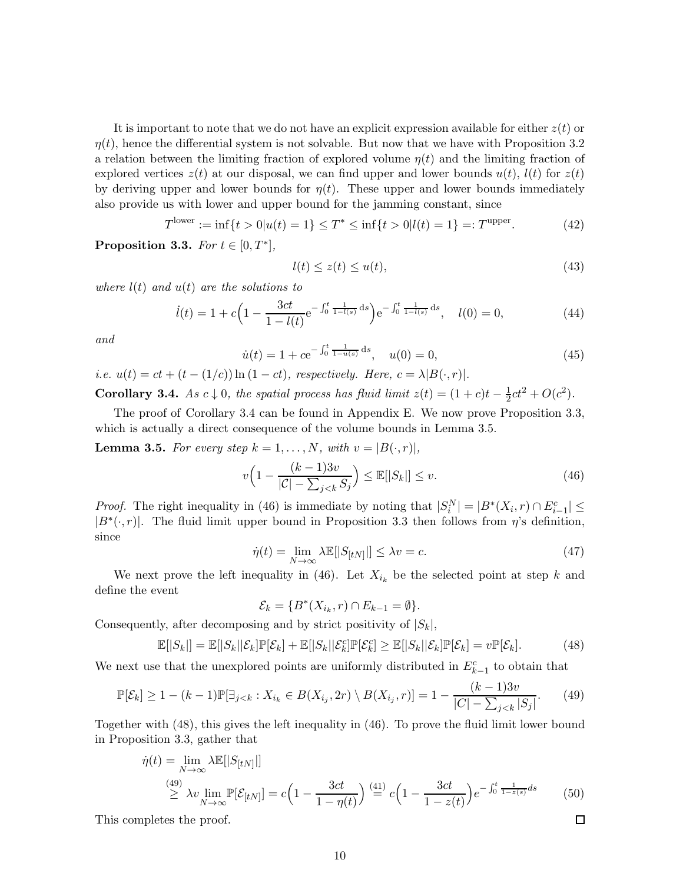It is important to note that we do not have an explicit expression available for either  $z(t)$  or  $\eta(t)$ , hence the differential system is not solvable. But now that we have with Proposition 3.2 a relation between the limiting fraction of explored volume  $\eta(t)$  and the limiting fraction of explored vertices  $z(t)$  at our disposal, we can find upper and lower bounds  $u(t)$ ,  $l(t)$  for  $z(t)$ by deriving upper and lower bounds for  $\eta(t)$ . These upper and lower bounds immediately also provide us with lower and upper bound for the jamming constant, since

$$
T^{\text{lower}} := \inf\{t > 0 | u(t) = 1\} \le T^* \le \inf\{t > 0 | l(t) = 1\} =: T^{\text{upper}}.\tag{42}
$$

Proposition 3.3. For  $t \in [0, T^*]$ ,

$$
l(t) \le z(t) \le u(t),\tag{43}
$$

where  $l(t)$  and  $u(t)$  are the solutions to

$$
\dot{l}(t) = 1 + c \left( 1 - \frac{3ct}{1 - l(t)} e^{-\int_0^t \frac{1}{1 - l(s)} ds} \right) e^{-\int_0^t \frac{1}{1 - l(s)} ds}, \quad l(0) = 0,\tag{44}
$$

and

$$
\dot{u}(t) = 1 + ce^{-\int_0^t \frac{1}{1 - u(s)} ds}, \quad u(0) = 0,
$$
\n(45)

i.e.  $u(t) = ct + (t - (1/c)) \ln(1 - ct)$ , respectively. Here,  $c = \lambda |B(\cdot,r)|$ .

**Corollary 3.4.** As  $c \downarrow 0$ , the spatial process has fluid limit  $z(t) = (1+c)t - \frac{1}{2}$  $\frac{1}{2}ct^2 + O(c^2)$ .

The proof of Corollary 3.4 can be found in Appendix E. We now prove Proposition 3.3, which is actually a direct consequence of the volume bounds in Lemma 3.5.

**Lemma 3.5.** For every step  $k = 1, ..., N$ , with  $v = |B(\cdot, r)|$ ,

$$
v\left(1 - \frac{(k-1)3v}{|\mathcal{C}| - \sum_{j < k} S_j}\right) \le \mathbb{E}[|S_k|] \le v. \tag{46}
$$

*Proof.* The right inequality in (46) is immediate by noting that  $|S_i^N| = |B^*(X_i, r) \cap E_{i-1}^c| \le$  $|B^*(\cdot, r)|$ . The fluid limit upper bound in Proposition 3.3 then follows from  $\eta$ 's definition, since

$$
\dot{\eta}(t) = \lim_{N \to \infty} \lambda \mathbb{E}[|S_{[tN]}|] \le \lambda v = c. \tag{47}
$$

 $\Box$ 

We next prove the left inequality in (46). Let  $X_{i_k}$  be the selected point at step k and define the event

$$
\mathcal{E}_k = \{B^*(X_{i_k}, r) \cap E_{k-1} = \emptyset\}.
$$

Consequently, after decomposing and by strict positivity of  $|S_k|$ ,

$$
\mathbb{E}[|S_k|] = \mathbb{E}[|S_k||\mathcal{E}_k]\mathbb{P}[\mathcal{E}_k] + \mathbb{E}[|S_k||\mathcal{E}_k^c]\mathbb{P}[\mathcal{E}_k^c] \ge \mathbb{E}[|S_k||\mathcal{E}_k]\mathbb{P}[\mathcal{E}_k] = v\mathbb{P}[\mathcal{E}_k].
$$
\n(48)

We next use that the unexplored points are uniformly distributed in  $E_{k-1}^c$  to obtain that

$$
\mathbb{P}[\mathcal{E}_k] \ge 1 - (k-1)\mathbb{P}[\exists_{j < k} : X_{i_k} \in B(X_{i_j}, 2r) \setminus B(X_{i_j}, r)] = 1 - \frac{(k-1)3v}{|C| - \sum_{j < k} |S_j|}.\tag{49}
$$

Together with (48), this gives the left inequality in (46). To prove the fluid limit lower bound in Proposition 3.3, gather that

$$
\dot{\eta}(t) = \lim_{N \to \infty} \lambda \mathbb{E}[|S_{[tN]}|]
$$
\n
$$
\stackrel{(49)}{\geq} \lambda v \lim_{N \to \infty} \mathbb{P}[\mathcal{E}_{[tN]}] = c \Big( 1 - \frac{3ct}{1 - \eta(t)} \Big) \stackrel{(41)}{=} c \Big( 1 - \frac{3ct}{1 - z(t)} \Big) e^{-\int_0^t \frac{1}{1 - z(s)} ds} \tag{50}
$$

This completes the proof.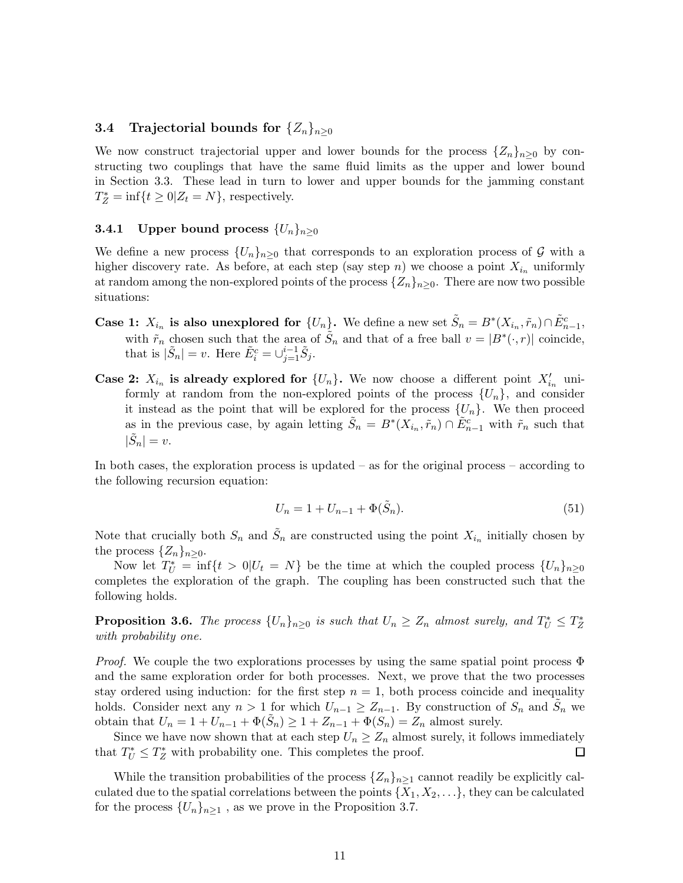### 3.4 Trajectorial bounds for  $\{Z_n\}_{n\geq 0}$

We now construct trajectorial upper and lower bounds for the process  $\{Z_n\}_{n>0}$  by constructing two couplings that have the same fluid limits as the upper and lower bound in Section 3.3. These lead in turn to lower and upper bounds for the jamming constant  $T_Z^* = \inf\{t \geq 0 | Z_t = N\}$ , respectively.

#### **3.4.1** Upper bound process  $\{U_n\}_{n\geq0}$

We define a new process  $\{U_n\}_{n>0}$  that corresponds to an exploration process of G with a higher discovery rate. As before, at each step (say step n) we choose a point  $X_{i_n}$  uniformly at random among the non-explored points of the process  $\{Z_n\}_{n\geq 0}$ . There are now two possible situations:

- Case 1:  $X_{i_n}$  is also unexplored for  $\{U_n\}$ . We define a new set  $\tilde{S}_n = B^*(X_{i_n}, \tilde{r}_n) \cap \tilde{E}_{n-1}^c$ , with  $\tilde{r}_n$  chosen such that the area of  $\tilde{S}_n$  and that of a free ball  $v = |B^*(\cdot, r)|$  coincide, that is  $|\tilde{S}_n| = v$ . Here  $\tilde{E}_i^c = \bigcup_{j=1}^{i-1} \tilde{S}_j$ .
- Case 2:  $X_{i_n}$  is already explored for  $\{U_n\}$ . We now choose a different point  $X'_{i_n}$  uniformly at random from the non-explored points of the process  $\{U_n\}$ , and consider it instead as the point that will be explored for the process  $\{U_n\}$ . We then proceed as in the previous case, by again letting  $\tilde{S}_n = B^*(X_{i_n}, \tilde{r}_n) \cap \tilde{E}_{n-1}^c$  with  $\tilde{r}_n$  such that  $|\tilde{S}_n| = v.$

In both cases, the exploration process is updated – as for the original process – according to the following recursion equation:

$$
U_n = 1 + U_{n-1} + \Phi(\tilde{S}_n). \tag{51}
$$

Note that crucially both  $S_n$  and  $\tilde{S}_n$  are constructed using the point  $X_{i_n}$  initially chosen by the process  $\{Z_n\}_{n\geq 0}$ .

Now let  $T_U^* = \inf\{t > 0 | U_t = N\}$  be the time at which the coupled process  $\{U_n\}_{n\geq 0}$ completes the exploration of the graph. The coupling has been constructed such that the following holds.

**Proposition 3.6.** The process  $\{U_n\}_{n\geq 0}$  is such that  $U_n \geq Z_n$  almost surely, and  $T_U^* \leq T_Z^*$ with probability one.

*Proof.* We couple the two explorations processes by using the same spatial point process  $\Phi$ and the same exploration order for both processes. Next, we prove that the two processes stay ordered using induction: for the first step  $n = 1$ , both process coincide and inequality holds. Consider next any  $n > 1$  for which  $U_{n-1} \ge Z_{n-1}$ . By construction of  $S_n$  and  $\tilde{S}_n$  we obtain that  $U_n = 1 + U_{n-1} + \Phi(\tilde{S}_n) \ge 1 + Z_{n-1} + \Phi(S_n) = Z_n$  almost surely.

Since we have now shown that at each step  $U_n \ge Z_n$  almost surely, it follows immediately<br>t  $T_{tt}^* \le T_Z^*$  with probability one. This completes the proof. that  $T_U^* \leq T_Z^*$  with probability one. This completes the proof.

While the transition probabilities of the process  $\{Z_n\}_{n\geq 1}$  cannot readily be explicitly calculated due to the spatial correlations between the points  $\{X_1, X_2, \ldots\}$ , they can be calculated for the process  $\{U_n\}_{n\geq 1}$ , as we prove in the Proposition 3.7.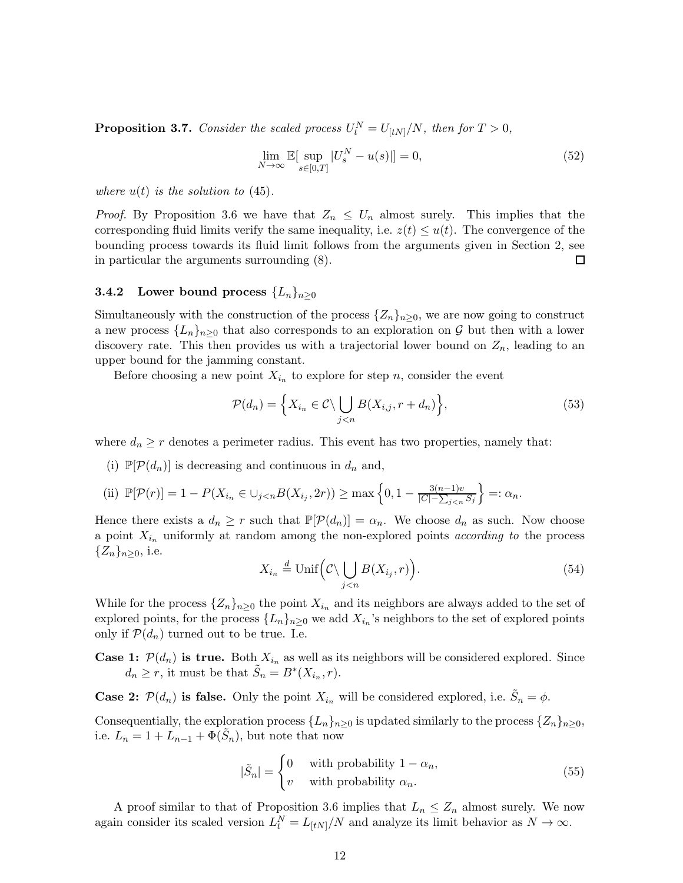**Proposition 3.7.** Consider the scaled process  $U_t^N = U_{[tN]}/N$ , then for  $T > 0$ ,

$$
\lim_{N \to \infty} \mathbb{E}[\sup_{s \in [0,T]} |U_s^N - u(s)|] = 0,\tag{52}
$$

where  $u(t)$  is the solution to (45).

*Proof.* By Proposition 3.6 we have that  $Z_n \leq U_n$  almost surely. This implies that the corresponding fluid limits verify the same inequality, i.e.  $z(t) \leq u(t)$ . The convergence of the bounding process towards its fluid limit follows from the arguments given in Section 2, see in particular the arguments surrounding (8).  $\Box$ 

### **3.4.2** Lower bound process  ${L_n}_{n>0}$

Simultaneously with the construction of the process  $\{Z_n\}_{n\geq 0}$ , we are now going to construct a new process  $\{L_n\}_{n\geq 0}$  that also corresponds to an exploration on G but then with a lower discovery rate. This then provides us with a trajectorial lower bound on  $Z_n$ , leading to an upper bound for the jamming constant.

Before choosing a new point  $X_{i_n}$  to explore for step n, consider the event

$$
\mathcal{P}(d_n) = \left\{ X_{i_n} \in \mathcal{C} \setminus \bigcup_{j < n} B(X_{i,j}, r + d_n) \right\},\tag{53}
$$

where  $d_n \geq r$  denotes a perimeter radius. This event has two properties, namely that:

(i)  $\mathbb{P}[\mathcal{P}(d_n)]$  is decreasing and continuous in  $d_n$  and,

(ii) 
$$
\mathbb{P}[\mathcal{P}(r)] = 1 - P(X_{i_n} \in \bigcup_{j < n} B(X_{i_j}, 2r)) \ge \max\left\{0, 1 - \frac{3(n-1)v}{|C| - \sum_{j < n} S_j}\right\} =: \alpha_n.
$$

Hence there exists a  $d_n \geq r$  such that  $\mathbb{P}[\mathcal{P}(d_n)] = \alpha_n$ . We choose  $d_n$  as such. Now choose a point  $X_{i_n}$  uniformly at random among the non-explored points *according to* the process  ${Z_n}_{n\geq 0}$ , i.e.

$$
X_{i_n} \stackrel{d}{=} \text{Unif}\left(\mathcal{C} \setminus \bigcup_{j < n} B(X_{i_j}, r)\right). \tag{54}
$$

While for the process  $\{Z_n\}_{n\geq 0}$  the point  $X_{i_n}$  and its neighbors are always added to the set of explored points, for the process  $\{L_n\}_{n\geq 0}$  we add  $X_{i_n}$ 's neighbors to the set of explored points only if  $\mathcal{P}(d_n)$  turned out to be true. I.e.

**Case 1:**  $\mathcal{P}(d_n)$  is true. Both  $X_{i_n}$  as well as its neighbors will be considered explored. Since  $d_n \geq r$ , it must be that  $\tilde{S}_n = B^*(X_{i_n}, r)$ .

**Case 2:**  $\mathcal{P}(d_n)$  is false. Only the point  $X_{i_n}$  will be considered explored, i.e.  $\tilde{S}_n = \phi$ .

Consequentially, the exploration process  $\{L_n\}_{n\geq 0}$  is updated similarly to the process  $\{Z_n\}_{n\geq 0}$ , i.e.  $L_n = 1 + L_{n-1} + \Phi(\tilde{S}_n)$ , but note that now

$$
|\tilde{S}_n| = \begin{cases} 0 & \text{with probability } 1 - \alpha_n, \\ v & \text{with probability } \alpha_n. \end{cases} \tag{55}
$$

A proof similar to that of Proposition 3.6 implies that  $L_n \leq Z_n$  almost surely. We now again consider its scaled version  $L_t^N = L_{[tN]}/N$  and analyze its limit behavior as  $N \to \infty$ .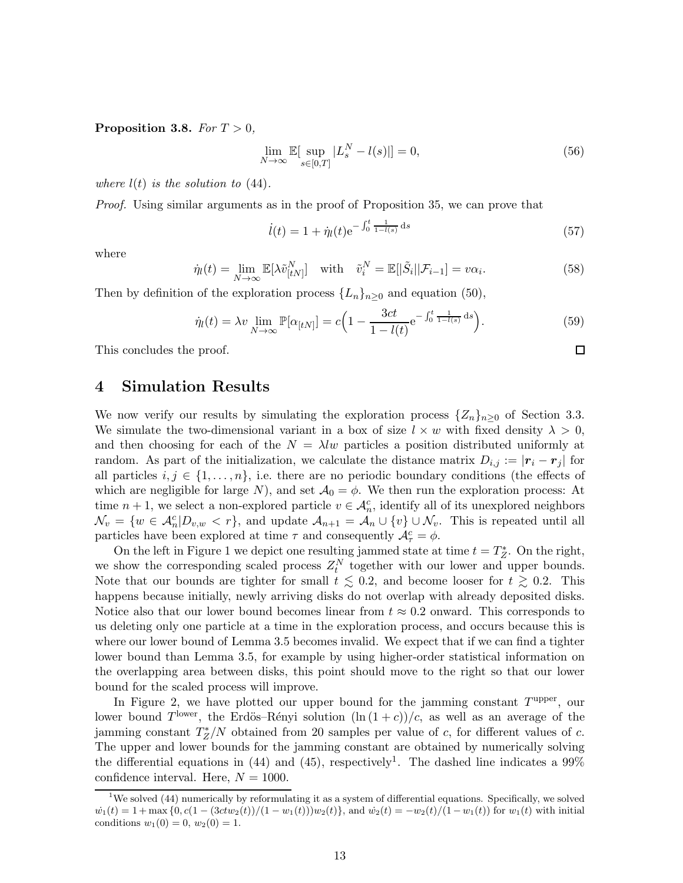Proposition 3.8. For  $T > 0$ ,

$$
\lim_{N \to \infty} \mathbb{E}[\sup_{s \in [0,T]} |L_s^N - l(s)|] = 0,\tag{56}
$$

where  $l(t)$  is the solution to (44).

Proof. Using similar arguments as in the proof of Proposition 35, we can prove that

$$
\dot{l}(t) = 1 + \dot{\eta}_l(t) e^{-\int_0^t \frac{1}{1 - l(s)} ds} \tag{57}
$$

 $\Box$ 

where

$$
\dot{\eta}_l(t) = \lim_{N \to \infty} \mathbb{E}[\lambda \tilde{v}_{[tN]}^N] \quad \text{with} \quad \tilde{v}_i^N = \mathbb{E}[|\tilde{S}_i||\mathcal{F}_{i-1}] = v\alpha_i. \tag{58}
$$

Then by definition of the exploration process  $\{L_n\}_{n\geq 0}$  and equation (50),

$$
\dot{\eta}_l(t) = \lambda v \lim_{N \to \infty} \mathbb{P}[\alpha_{[tN]}] = c \Big( 1 - \frac{3ct}{1 - l(t)} e^{-\int_0^t \frac{1}{1 - l(s)} ds} \Big). \tag{59}
$$

This concludes the proof.

### 4 Simulation Results

We now verify our results by simulating the exploration process  $\{Z_n\}_{n>0}$  of Section 3.3. We simulate the two-dimensional variant in a box of size  $l \times w$  with fixed density  $\lambda > 0$ , and then choosing for each of the  $N = \lambda l w$  particles a position distributed uniformly at random. As part of the initialization, we calculate the distance matrix  $D_{i,j} := |r_i - r_j|$  for all particles  $i, j \in \{1, \ldots, n\}$ , i.e. there are no periodic boundary conditions (the effects of which are negligible for large N), and set  $\mathcal{A}_0 = \phi$ . We then run the exploration process: At time  $n + 1$ , we select a non-explored particle  $v \in \mathcal{A}_n^c$ , identify all of its unexplored neighbors  $\mathcal{N}_v = \{w \in \mathcal{A}_n^c | D_{v,w} < r\}$ , and update  $\mathcal{A}_{n+1} = \mathcal{A}_n \cup \{v\} \cup \mathcal{N}_v$ . This is repeated until all particles have been explored at time  $\tau$  and consequently  $\mathcal{A}_{\tau}^c = \phi$ .

On the left in Figure 1 we depict one resulting jammed state at time  $t = T_Z^*$ . On the right, we show the corresponding scaled process  $Z_t^N$  together with our lower and upper bounds. Note that our bounds are tighter for small  $t \lesssim 0.2$ , and become looser for  $t \gtrsim 0.2$ . This happens because initially, newly arriving disks do not overlap with already deposited disks. Notice also that our lower bound becomes linear from  $t \approx 0.2$  onward. This corresponds to us deleting only one particle at a time in the exploration process, and occurs because this is where our lower bound of Lemma 3.5 becomes invalid. We expect that if we can find a tighter lower bound than Lemma 3.5, for example by using higher-order statistical information on the overlapping area between disks, this point should move to the right so that our lower bound for the scaled process will improve.

In Figure 2, we have plotted our upper bound for the jamming constant  $T^{\text{upper}}$ , our lower bound  $T^{\text{lower}}$ , the Erdös-Rényi solution  $(\ln (1+c))/c$ , as well as an average of the jamming constant  $T_Z^*/N$  obtained from 20 samples per value of c, for different values of c. The upper and lower bounds for the jamming constant are obtained by numerically solving the differential equations in (44) and (45), respectively<sup>1</sup>. The dashed line indicates a  $99\%$ confidence interval. Here,  $N = 1000$ .

<sup>&</sup>lt;sup>1</sup>We solved (44) numerically by reformulating it as a system of differential equations. Specifically, we solved  $\dot{w_1}(t) = 1 + \max\{0, c(1 - (3ctw_2(t))/(1 - w_1(t)))w_2(t)\},\$ and  $\dot{w_2}(t) = -w_2(t)/(1 - w_1(t))$  for  $w_1(t)$  with initial conditions  $w_1(0) = 0$ ,  $w_2(0) = 1$ .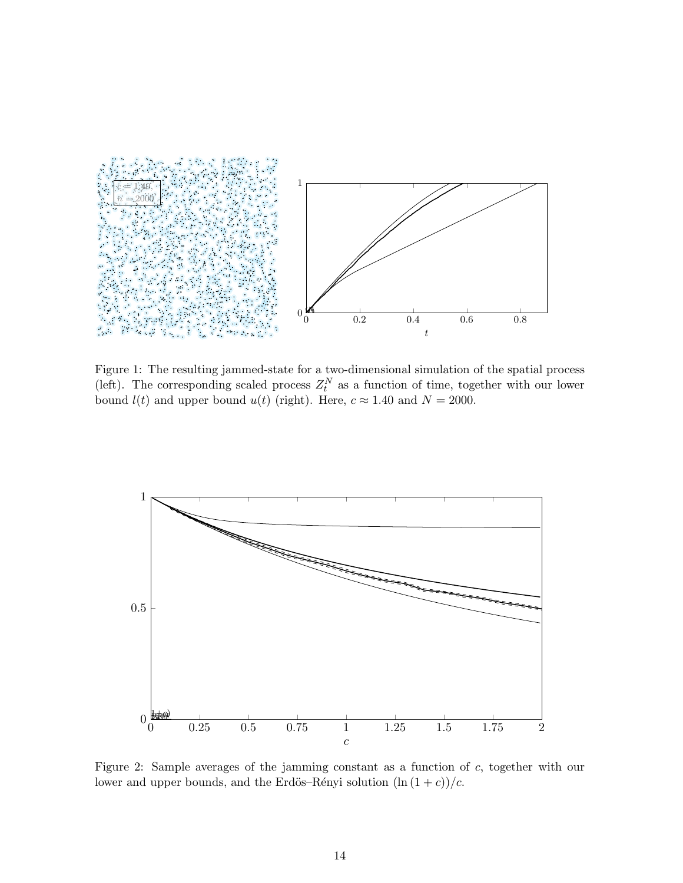

Figure 1: The resulting jammed-state for a two-dimensional simulation of the spatial process (left). The corresponding scaled process  $Z_t^N$  as a function of time, together with our lower bound  $l(t)$  and upper bound  $u(t)$  (right). Here,  $c \approx 1.40$  and  $N = 2000$ .



Figure 2: Sample averages of the jamming constant as a function of c, together with our lower and upper bounds, and the Erdös–Rényi solution  $(\ln (1 + c))/c$ .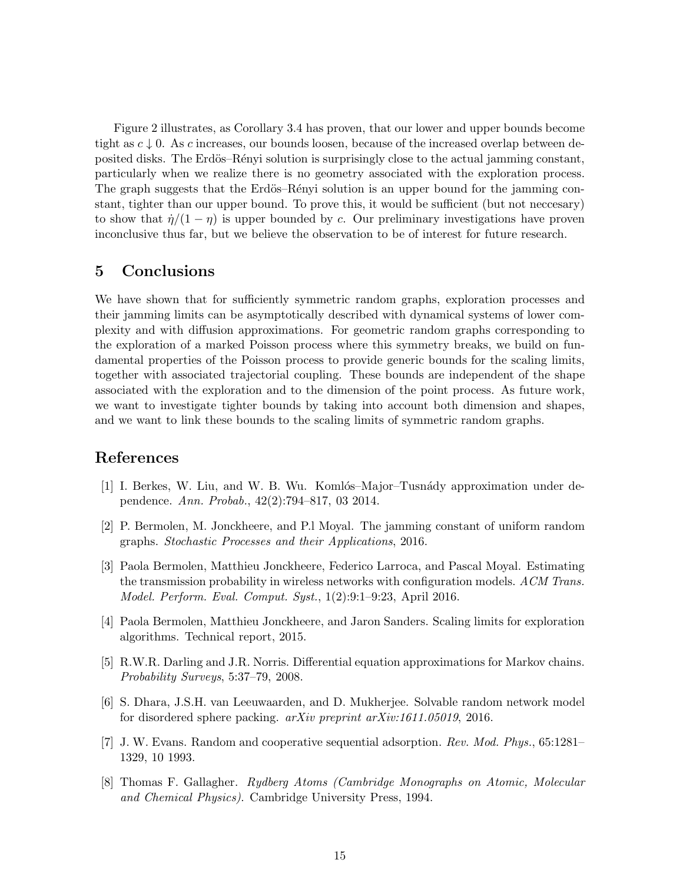Figure 2 illustrates, as Corollary 3.4 has proven, that our lower and upper bounds become tight as  $c \downarrow 0$ . As c increases, our bounds loosen, because of the increased overlap between deposited disks. The Erdös–Rényi solution is surprisingly close to the actual jamming constant, particularly when we realize there is no geometry associated with the exploration process. The graph suggests that the Erdös–Rényi solution is an upper bound for the jamming constant, tighter than our upper bound. To prove this, it would be sufficient (but not neccesary) to show that  $\eta/(1-\eta)$  is upper bounded by c. Our preliminary investigations have proven inconclusive thus far, but we believe the observation to be of interest for future research.

# 5 Conclusions

We have shown that for sufficiently symmetric random graphs, exploration processes and their jamming limits can be asymptotically described with dynamical systems of lower complexity and with diffusion approximations. For geometric random graphs corresponding to the exploration of a marked Poisson process where this symmetry breaks, we build on fundamental properties of the Poisson process to provide generic bounds for the scaling limits, together with associated trajectorial coupling. These bounds are independent of the shape associated with the exploration and to the dimension of the point process. As future work, we want to investigate tighter bounds by taking into account both dimension and shapes, and we want to link these bounds to the scaling limits of symmetric random graphs.

# References

- [1] I. Berkes, W. Liu, and W. B. Wu. Komlós–Major–Tusnády approximation under dependence. Ann. Probab., 42(2):794–817, 03 2014.
- [2] P. Bermolen, M. Jonckheere, and P.l Moyal. The jamming constant of uniform random graphs. Stochastic Processes and their Applications, 2016.
- [3] Paola Bermolen, Matthieu Jonckheere, Federico Larroca, and Pascal Moyal. Estimating the transmission probability in wireless networks with configuration models. ACM Trans. Model. Perform. Eval. Comput. Syst., 1(2):9:1–9:23, April 2016.
- [4] Paola Bermolen, Matthieu Jonckheere, and Jaron Sanders. Scaling limits for exploration algorithms. Technical report, 2015.
- [5] R.W.R. Darling and J.R. Norris. Differential equation approximations for Markov chains. Probability Surveys, 5:37–79, 2008.
- [6] S. Dhara, J.S.H. van Leeuwaarden, and D. Mukherjee. Solvable random network model for disordered sphere packing. arXiv preprint arXiv:1611.05019, 2016.
- [7] J. W. Evans. Random and cooperative sequential adsorption. Rev. Mod. Phys., 65:1281– 1329, 10 1993.
- [8] Thomas F. Gallagher. Rydberg Atoms (Cambridge Monographs on Atomic, Molecular and Chemical Physics). Cambridge University Press, 1994.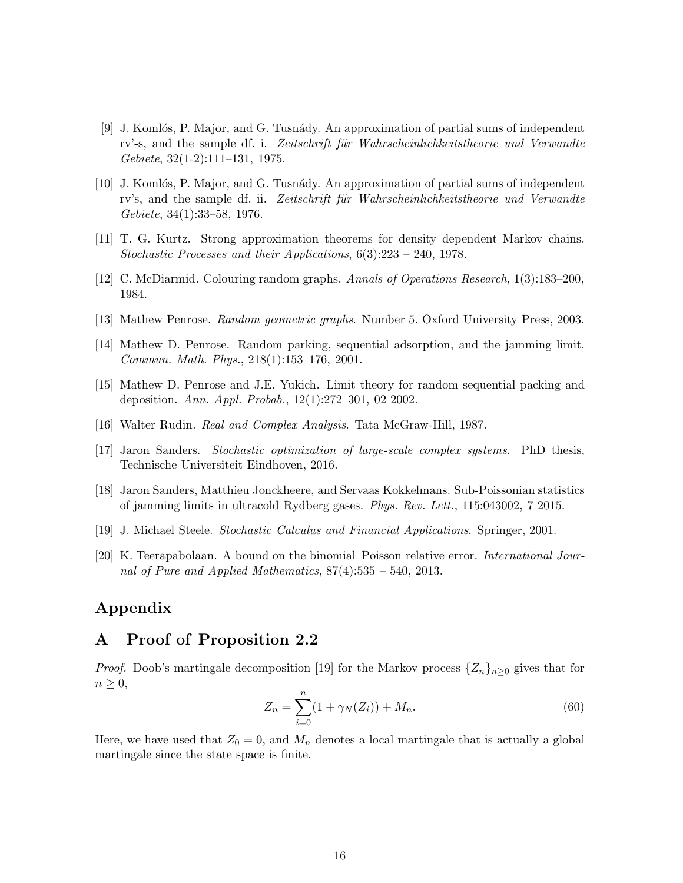- [9] J. Komlós, P. Major, and G. Tusnády. An approximation of partial sums of independent rv'-s, and the sample df. i. Zeitschrift für Wahrscheinlichkeitstheorie und Verwandte Gebiete, 32(1-2):111–131, 1975.
- [10] J. Komlós, P. Major, and G. Tusnády. An approximation of partial sums of independent rv's, and the sample df. ii. Zeitschrift für Wahrscheinlichkeitstheorie und Verwandte Gebiete, 34(1):33–58, 1976.
- [11] T. G. Kurtz. Strong approximation theorems for density dependent Markov chains. Stochastic Processes and their Applications, 6(3):223 – 240, 1978.
- [12] C. McDiarmid. Colouring random graphs. Annals of Operations Research, 1(3):183–200, 1984.
- [13] Mathew Penrose. Random geometric graphs. Number 5. Oxford University Press, 2003.
- [14] Mathew D. Penrose. Random parking, sequential adsorption, and the jamming limit. Commun. Math. Phys., 218(1):153–176, 2001.
- [15] Mathew D. Penrose and J.E. Yukich. Limit theory for random sequential packing and deposition. Ann. Appl. Probab., 12(1):272–301, 02 2002.
- [16] Walter Rudin. Real and Complex Analysis. Tata McGraw-Hill, 1987.
- [17] Jaron Sanders. Stochastic optimization of large-scale complex systems. PhD thesis, Technische Universiteit Eindhoven, 2016.
- [18] Jaron Sanders, Matthieu Jonckheere, and Servaas Kokkelmans. Sub-Poissonian statistics of jamming limits in ultracold Rydberg gases. Phys. Rev. Lett., 115:043002, 7 2015.
- [19] J. Michael Steele. Stochastic Calculus and Financial Applications. Springer, 2001.
- [20] K. Teerapabolaan. A bound on the binomial–Poisson relative error. International Journal of Pure and Applied Mathematics,  $87(4):535 - 540$ , 2013.

# Appendix

### A Proof of Proposition 2.2

*Proof.* Doob's martingale decomposition [19] for the Markov process  $\{Z_n\}_{n>0}$  gives that for  $n \geq 0$ ,

$$
Z_n = \sum_{i=0}^n (1 + \gamma_N(Z_i)) + M_n.
$$
 (60)

Here, we have used that  $Z_0 = 0$ , and  $M_n$  denotes a local martingale that is actually a global martingale since the state space is finite.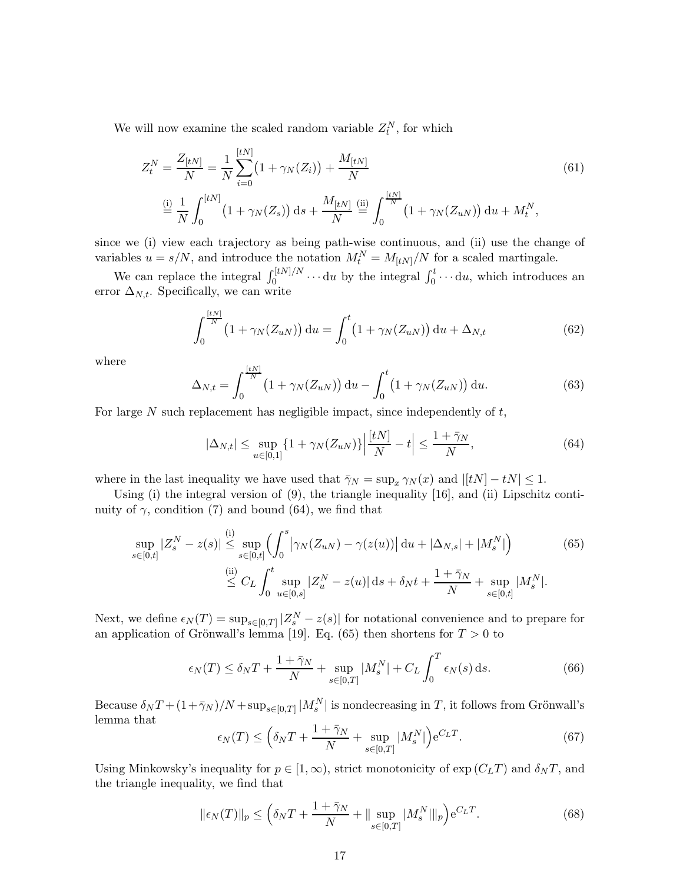We will now examine the scaled random variable  $Z_t^N$ , for which

$$
Z_t^N = \frac{Z_{[tN]}}{N} = \frac{1}{N} \sum_{i=0}^{[tN]} \left(1 + \gamma_N(Z_i)\right) + \frac{M_{[tN]}}{N}
$$
(61)  

$$
\stackrel{\text{(i)}}{=} \frac{1}{N} \int_0^{[tN]} \left(1 + \gamma_N(Z_s)\right) \, \mathrm{d}s + \frac{M_{[tN]}}{N} \stackrel{\text{(ii)}}{=} \int_0^{\frac{[tN]}{N}} \left(1 + \gamma_N(Z_{uN})\right) \, \mathrm{d}u + M_t^N,
$$

since we (i) view each trajectory as being path-wise continuous, and (ii) use the change of variables  $u = s/N$ , and introduce the notation  $M_t^N = M_{[tN]}/N$  for a scaled martingale.

We can replace the integral  $\int_0^{\lfloor tN\rfloor/N} \cdots du$  by the integral  $\int_0^t \cdots du$ , which introduces an error  $\Delta_{N,t}$ . Specifically, we can write

$$
\int_0^{\frac{[tN]}{N}} (1 + \gamma_N(Z_{uN})) \, \mathrm{d}u = \int_0^t (1 + \gamma_N(Z_{uN})) \, \mathrm{d}u + \Delta_{N,t} \tag{62}
$$

where

$$
\Delta_{N,t} = \int_0^{\frac{[tN]}{N}} (1 + \gamma_N(Z_{uN})) \, \mathrm{d}u - \int_0^t (1 + \gamma_N(Z_{uN})) \, \mathrm{d}u. \tag{63}
$$

For large N such replacement has negligible impact, since independently of  $t$ ,

$$
|\Delta_{N,t}| \le \sup_{u \in [0,1]} \{ 1 + \gamma_N(Z_{uN}) \} \Big| \frac{[tN]}{N} - t \Big| \le \frac{1 + \bar{\gamma}_N}{N},\tag{64}
$$

where in the last inequality we have used that  $\overline{\gamma}_N = \sup_x \gamma_N(x)$  and  $|[tN] - tN| \leq 1$ .

Using (i) the integral version of  $(9)$ , the triangle inequality  $[16]$ , and (ii) Lipschitz continuity of  $\gamma$ , condition (7) and bound (64), we find that

$$
\sup_{s \in [0,t]} |Z_s^N - z(s)| \stackrel{\text{(i)}}{\leq} \sup_{s \in [0,t]} \left( \int_0^s \left| \gamma_N(Z_{uN}) - \gamma(z(u)) \right| \, \mathrm{d}u + |\Delta_{N,s}| + |M_s^N| \right) \tag{65}
$$
\n
$$
\stackrel{\text{(ii)}}{\leq} C_L \int_0^t \sup_{u \in [0,s]} |Z_u^N - z(u)| \, \mathrm{d}s + \delta_N t + \frac{1 + \bar{\gamma}_N}{N} + \sup_{s \in [0,t]} |M_s^N|.
$$

Next, we define  $\epsilon_N(T) = \sup_{s \in [0,T]} |Z_s^N - z(s)|$  for notational convenience and to prepare for an application of Grönwall's lemma [19]. Eq. (65) then shortens for  $T > 0$  to

$$
\epsilon_N(T) \le \delta_N T + \frac{1 + \bar{\gamma}_N}{N} + \sup_{s \in [0,T]} |M_s^N| + C_L \int_0^T \epsilon_N(s) \, \mathrm{d}s. \tag{66}
$$

Because  $\delta_N T + (1 + \bar{\gamma}_N)/N + \sup_{s \in [0,T]} |M_s^N|$  is nondecreasing in T, it follows from Grönwall's lemma that

$$
\epsilon_N(T) \le \left(\delta_N T + \frac{1 + \bar{\gamma}_N}{N} + \sup_{s \in [0,T]} |M_s^N|\right) e^{C_L T}.\tag{67}
$$

Using Minkowsky's inequality for  $p \in [1,\infty)$ , strict monotonicity of  $\exp(C_L T)$  and  $\delta_N T$ , and the triangle inequality, we find that

$$
\|\epsilon_N(T)\|_p \le \left(\delta_N T + \frac{1+\bar{\gamma}_N}{N} + \|\sup_{s \in [0,T]} |M_s^N| \|_p\right) e^{C_L T}.\tag{68}
$$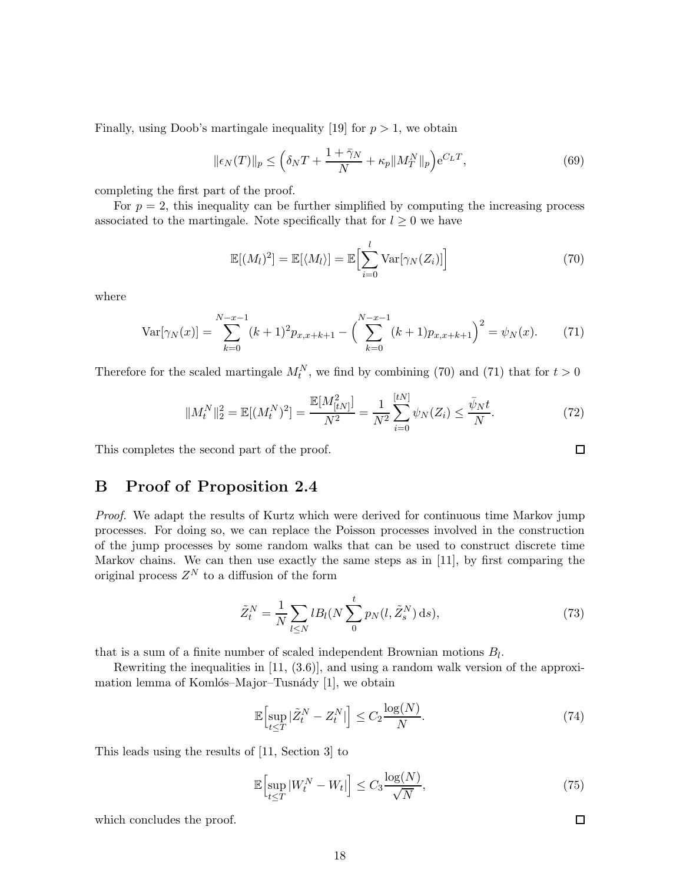Finally, using Doob's martingale inequality [19] for  $p > 1$ , we obtain

$$
\|\epsilon_N(T)\|_p \le \left(\delta_N T + \frac{1+\bar{\gamma}_N}{N} + \kappa_p \|M_T^N\|_p\right) e^{C_L T},\tag{69}
$$

completing the first part of the proof.

For  $p = 2$ , this inequality can be further simplified by computing the increasing process associated to the martingale. Note specifically that for  $l \geq 0$  we have

$$
\mathbb{E}[(M_l)^2] = \mathbb{E}[\langle M_l \rangle] = \mathbb{E}\Big[\sum_{i=0}^l \text{Var}[\gamma_N(Z_i)]\Big]
$$
(70)

where

$$
\text{Var}[\gamma_N(x)] = \sum_{k=0}^{N-x-1} (k+1)^2 p_{x,x+k+1} - \left(\sum_{k=0}^{N-x-1} (k+1) p_{x,x+k+1}\right)^2 = \psi_N(x). \tag{71}
$$

Therefore for the scaled martingale  $M_t^N$ , we find by combining (70) and (71) that for  $t > 0$ 

$$
||M_t^N||_2^2 = \mathbb{E}[(M_t^N)^2] = \frac{\mathbb{E}[M_{[tN]}^2]}{N^2} = \frac{1}{N^2} \sum_{i=0}^{[tN]} \psi_N(Z_i) \le \frac{\bar{\psi}_N t}{N}.
$$
 (72)

This completes the second part of the proof.

# B Proof of Proposition 2.4

Proof. We adapt the results of Kurtz which were derived for continuous time Markov jump processes. For doing so, we can replace the Poisson processes involved in the construction of the jump processes by some random walks that can be used to construct discrete time Markov chains. We can then use exactly the same steps as in [11], by first comparing the original process  $Z^N$  to a diffusion of the form

$$
\tilde{Z}_t^N = \frac{1}{N} \sum_{l \le N} l B_l(N \sum_{0}^{t} p_N(l, \tilde{Z}_s^N) \, \mathrm{d}s),\tag{73}
$$

that is a sum of a finite number of scaled independent Brownian motions  $B_l$ .

Rewriting the inequalities in [11, (3.6)], and using a random walk version of the approximation lemma of Komlós–Major–Tusnády [1], we obtain

$$
\mathbb{E}\Big[\sup_{t\leq T}|\tilde{Z}_t^N - Z_t^N|\Big] \leq C_2 \frac{\log(N)}{N}.\tag{74}
$$

This leads using the results of [11, Section 3] to

$$
\mathbb{E}\Big[\sup_{t\leq T}|W_t^N - W_t|\Big] \leq C_3 \frac{\log(N)}{\sqrt{N}},\tag{75}
$$

which concludes the proof.

 $\Box$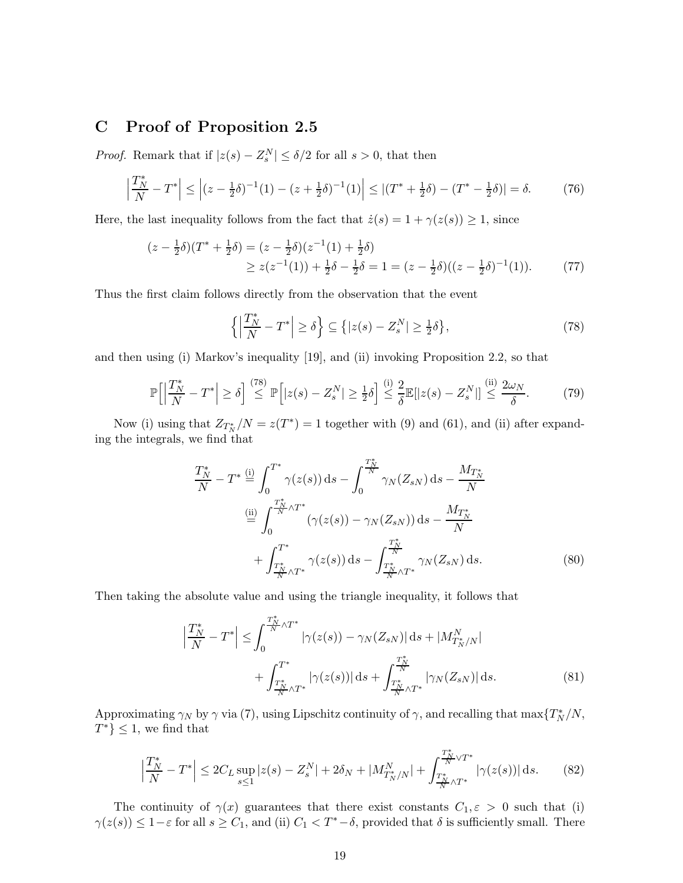### C Proof of Proposition 2.5

*Proof.* Remark that if  $|z(s) - Z_s^N| \le \delta/2$  for all  $s > 0$ , that then

$$
\left|\frac{T_N^*}{N} - T^*\right| \le \left| (z - \frac{1}{2}\delta)^{-1}(1) - (z + \frac{1}{2}\delta)^{-1}(1) \right| \le \left| (T^* + \frac{1}{2}\delta) - (T^* - \frac{1}{2}\delta) \right| = \delta. \tag{76}
$$

Here, the last inequality follows from the fact that  $\dot{z}(s) = 1 + \gamma(z(s)) \geq 1$ , since

$$
(z - \frac{1}{2}\delta)(T^* + \frac{1}{2}\delta) = (z - \frac{1}{2}\delta)(z^{-1}(1) + \frac{1}{2}\delta)
$$
  
\n
$$
\geq z(z^{-1}(1)) + \frac{1}{2}\delta - \frac{1}{2}\delta = 1 = (z - \frac{1}{2}\delta)((z - \frac{1}{2}\delta)^{-1}(1)).
$$
 (77)

Thus the first claim follows directly from the observation that the event

$$
\left\{ \left| \frac{T_N^*}{N} - T^* \right| \ge \delta \right\} \subseteq \left\{ |z(s) - Z_s^N| \ge \frac{1}{2}\delta \right\},\tag{78}
$$

and then using (i) Markov's inequality [19], and (ii) invoking Proposition 2.2, so that

$$
\mathbb{P}\Big[\Big|\frac{T_N^*}{N} - T^*\Big| \ge \delta\Big] \stackrel{(78)}{\le} \mathbb{P}\Big[|z(s) - Z_s^N| \ge \frac{1}{2}\delta\Big] \stackrel{(i)}{\le} \frac{2}{\delta} \mathbb{E}[|z(s) - Z_s^N|] \stackrel{(ii)}{\le} \frac{2\omega_N}{\delta}.\tag{79}
$$

Now (i) using that  $Z_{T_N^*}/N = z(T^*) = 1$  together with (9) and (61), and (ii) after expanding the integrals, we find that

$$
\frac{T_N^*}{N} - T^* \stackrel{\text{(i)}}{=} \int_0^{T^*} \gamma(z(s)) \, ds - \int_0^{\frac{T_N^*}{N}} \gamma_N(Z_{sN}) \, ds - \frac{M_{T_N^*}}{N}
$$
\n
$$
\stackrel{\text{(ii)}}{=} \int_0^{\frac{T_N^*}{N} \wedge T^*} (\gamma(z(s)) - \gamma_N(Z_{sN})) \, ds - \frac{M_{T_N^*}}{N}
$$
\n
$$
+ \int_{\frac{T_N^*}{N} \wedge T^*}^{T^*} \gamma(z(s)) \, ds - \int_{\frac{T_N^*}{N} \wedge T^*}^{\frac{T_N^*}{N}} \gamma_N(Z_{sN}) \, ds. \tag{80}
$$

Then taking the absolute value and using the triangle inequality, it follows that

$$
\left| \frac{T_N^*}{N} - T^* \right| \le \int_0^{\frac{T_N^*}{N} \wedge T^*} |\gamma(z(s)) - \gamma_N(Z_{sN})| ds + |M_{T_N^* / N}^N| + \int_{\frac{T_N^*}{N} \wedge T^*}^{T^*} |\gamma(z(s))| ds + \int_{\frac{T_N^*}{N} \wedge T^*}^{\frac{T_N^*}{N}} |\gamma_N(Z_{sN})| ds.
$$
(81)

Approximating  $\gamma_N$  by  $\gamma$  via (7), using Lipschitz continuity of  $\gamma$ , and recalling that  $\max\{T_N^*/N,$  $T^*$ }  $\leq$  1, we find that

$$
\left|\frac{T_N^*}{N} - T^*\right| \le 2C_L \sup_{s \le 1} |z(s) - Z_s^N| + 2\delta_N + |M_{T_N^*/N}^N| + \int_{\frac{T_N^*}{N} \wedge T^*}^{\frac{T_N^*}{N} \vee T^*} |\gamma(z(s))| \, ds. \tag{82}
$$

The continuity of  $\gamma(x)$  guarantees that there exist constants  $C_1, \varepsilon > 0$  such that (i)  $\gamma(z(s)) \leq 1-\varepsilon$  for all  $s \geq C_1$ , and (ii)  $C_1 < T^*-\delta$ , provided that  $\delta$  is sufficiently small. There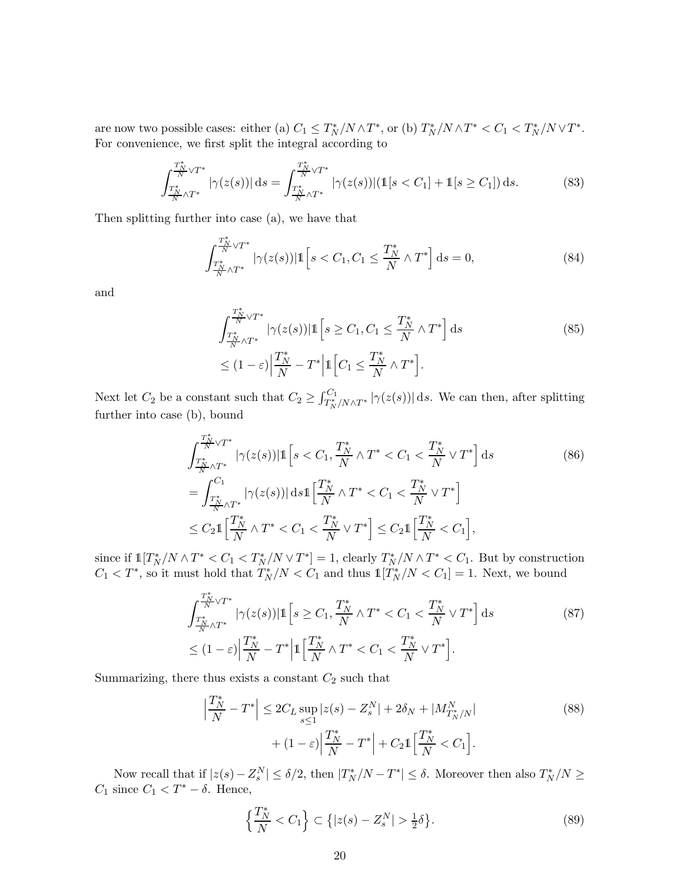are now two possible cases: either (a)  $C_1 \le T_N^* / N \wedge T^*$ , or (b)  $T_N^* / N \wedge T^* < C_1 < T_N^* / N \vee T^*$ . For convenience, we first split the integral according to

$$
\int_{\frac{T_N^*}{N}\wedge T^*}^{\frac{T_N^*}{N}\vee T^*} |\gamma(z(s))| ds = \int_{\frac{T_N^*}{N}\wedge T^*}^{\frac{T_N^*}{N}\vee T^*} |\gamma(z(s))| (\mathbb{1}[s < C_1] + \mathbb{1}[s \ge C_1]) ds. \tag{83}
$$

Then splitting further into case (a), we have that

$$
\int_{\frac{T_N^*}{N} \wedge T^*}^{\frac{T_N^*}{N} \vee T^*} |\gamma(z(s))| \mathbb{1} \left[ s < C_1, C_1 \le \frac{T_N^*}{N} \wedge T^* \right] \, \mathrm{d}s = 0,\tag{84}
$$

and

$$
\int_{\frac{T_N^*}{N}\wedge T^*}^{\frac{T_N^*}{N}\vee T^*} |\gamma(z(s))| \mathbb{1}\left[s \ge C_1, C_1 \le \frac{T_N^*}{N} \wedge T^*\right] ds
$$
\n
$$
\le (1-\varepsilon) \Big| \frac{T_N^*}{N} - T^* \Big| \mathbb{1}\Big[C_1 \le \frac{T_N^*}{N} \wedge T^*\Big].
$$
\n(85)

Next let  $C_2$  be a constant such that  $C_2 \geq \int_{T_N^*/N \wedge T^*}^{C_1} |\gamma(z(s))| ds$ . We can then, after splitting further into case (b), bound

$$
\int_{\frac{T_N^*}{N}\wedge T^*}^{\frac{T_N^*}{N}\vee T^*} |\gamma(z(s))| \mathbb{1}\left[s < C_1, \frac{T_N^*}{N} \wedge T^* < C_1 < \frac{T_N^*}{N} \vee T^*\right] ds
$$
\n
$$
= \int_{\frac{T_N^*}{N}\wedge T^*}^{C_1} |\gamma(z(s))| ds \mathbb{1}\left[\frac{T_N^*}{N}\wedge T^* < C_1 < \frac{T_N^*}{N} \vee T^*\right]
$$
\n
$$
\leq C_2 \mathbb{1}\left[\frac{T_N^*}{N}\wedge T^* < C_1 < \frac{T_N^*}{N} \vee T^*\right] \leq C_2 \mathbb{1}\left[\frac{T_N^*}{N} < C_1\right],
$$
\n(86)

since if  $\mathbb{1}[T_N^*/N \wedge T^*] < C_1 < T_N^*/N \vee T^*$  = 1, clearly  $T_N^*/N \wedge T^* < C_1$ . But by construction  $C_1 < T^*$ , so it must hold that  $T_N^* / N < C_1$  and thus  $\mathbb{1}[T_N^* / N < C_1] = 1$ . Next, we bound

$$
\int_{\frac{T_N^*}{N} \wedge T^*}^{\frac{T_N^*}{N} \vee T^*} |\gamma(z(s))| \mathbb{1} \left[ s \ge C_1, \frac{T_N^*}{N} \wedge T^* < C_1 < \frac{T_N^*}{N} \vee T^* \right] \, \mathrm{d}s \tag{87}
$$
\n
$$
\le (1 - \varepsilon) \Big| \frac{T_N^*}{N} - T^* \Big| \mathbb{1} \Big[ \frac{T_N^*}{N} \wedge T^* < C_1 < \frac{T_N^*}{N} \vee T^* \Big].
$$

Summarizing, there thus exists a constant  $C_2$  such that

$$
\left| \frac{T_N^*}{N} - T^* \right| \le 2C_L \sup_{s \le 1} |z(s) - Z_s^N| + 2\delta_N + |M_{T_N^*/N}^N| + (1 - \varepsilon) \left| \frac{T_N^*}{N} - T^* \right| + C_2 \mathbb{1} \left[ \frac{T_N^*}{N} < C_1 \right].
$$
\n
$$
(88)
$$

Now recall that if  $|z(s) - Z_s^N| \le \delta/2$ , then  $|T_N^*/N - T^*| \le \delta$ . Moreover then also  $T_N^*/N \ge$  $C_1$  since  $C_1 < T^* - \delta$ . Hence,

$$
\left\{\frac{T_N^*}{N} < C_1\right\} \subset \left\{|z(s) - Z_s^N| > \frac{1}{2}\delta\right\}.\tag{89}
$$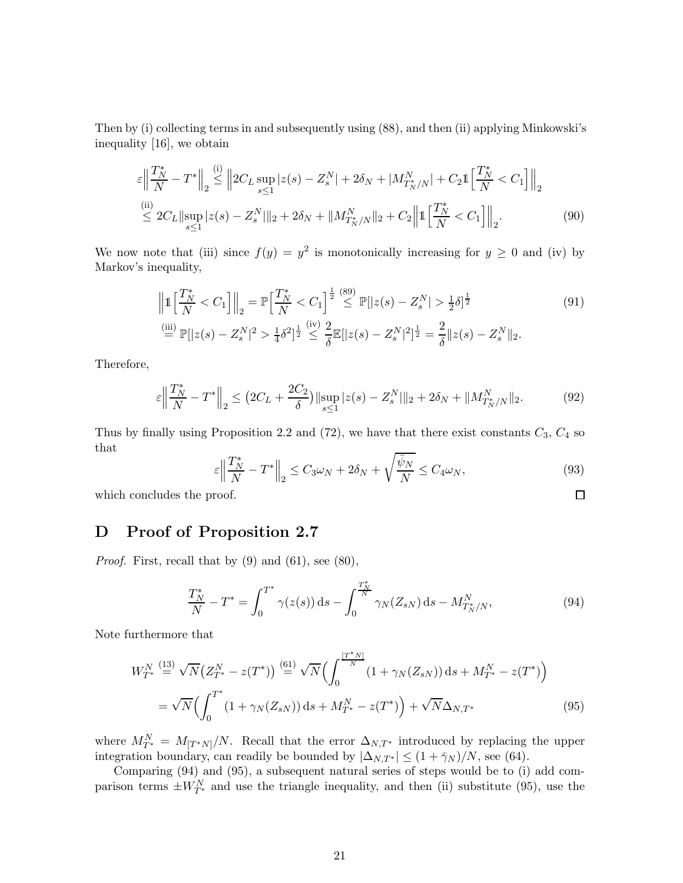Then by (i) collecting terms in and subsequently using (88), and then (ii) applying Minkowski's inequality [16], we obtain

$$
\varepsilon \left\| \frac{T_N^*}{N} - T^* \right\|_2 \stackrel{\text{(i)}}{\leq} \left\| 2C_L \sup_{s \leq 1} |z(s) - Z_s^N| + 2\delta_N + |M_{T_N^*/N}^N| + C_2 \mathbb{1} \left[ \frac{T_N^*}{N} < C_1 \right] \right\|_2
$$
\n
$$
\stackrel{\text{(ii)}}{\leq} 2C_L \|\sup_{s \leq 1} |z(s) - Z_s^N| \|_2 + 2\delta_N + \|M_{T_N^*/N}^N \|_2 + C_2 \left\| \mathbb{1} \left[ \frac{T_N^*}{N} < C_1 \right] \right\|_2. \tag{90}
$$

We now note that (iii) since  $f(y) = y^2$  is monotonically increasing for  $y \ge 0$  and (iv) by Markov's inequality,

$$
\left\|1\left[\frac{T_N^*}{N} < C_1\right]\right\|_2 = \mathbb{P}\left[\frac{T_N^*}{N} < C_1\right]^{\frac{1}{2}} \stackrel{(89)}{\leq} \mathbb{P}[\left|z(s) - Z_s^N\right| > \frac{1}{2}\delta]^{\frac{1}{2}} \tag{91}
$$
\n
$$
\stackrel{\text{(iii)}}{=} \mathbb{P}[\left|z(s) - Z_s^N\right|^2 > \frac{1}{4}\delta^2]^{\frac{1}{2}} \stackrel{\text{(iv)}}{=} \frac{2}{\delta} \mathbb{E}[\left|z(s) - Z_s^N\right|^2]^{\frac{1}{2}} = \frac{2}{\delta} \|z(s) - Z_s^N\|_2.
$$

Therefore,

$$
\varepsilon \left\| \frac{T_N^*}{N} - T^* \right\|_2 \le \left( 2C_L + \frac{2C_2}{\delta} \right) \|\sup_{s \le 1} |z(s) - Z_s^N| \|_2 + 2\delta_N + \|M_{T_N^*/N}^N \|_2. \tag{92}
$$

Thus by finally using Proposition 2.2 and  $(72)$ , we have that there exist constants  $C_3$ ,  $C_4$  so that

$$
\varepsilon \left\| \frac{T_N^*}{N} - T^* \right\|_2 \le C_3 \omega_N + 2\delta_N + \sqrt{\frac{\bar{\psi}_N}{N}} \le C_4 \omega_N,
$$
\n(93)

\nProof.

which concludes the proof.

# D Proof of Proposition 2.7

*Proof.* First, recall that by  $(9)$  and  $(61)$ , see  $(80)$ ,

$$
\frac{T_N^*}{N} - T^* = \int_0^{T^*} \gamma(z(s)) \, ds - \int_0^{\frac{T_N^*}{N}} \gamma_N(Z_{sN}) \, ds - M_{T_N^*/N}^N,\tag{94}
$$

Note furthermore that

$$
W_{T^*}^N \stackrel{(13)}{=} \sqrt{N} \left( Z_{T^*}^N - z(T^*) \right) \stackrel{(61)}{=} \sqrt{N} \left( \int_0^{\frac{[T^*N]}{N}} (1 + \gamma_N(Z_{sN})) \, ds + M_{T^*}^N - z(T^*) \right)
$$
  

$$
= \sqrt{N} \left( \int_0^{T^*} (1 + \gamma_N(Z_{sN})) \, ds + M_{T^*}^N - z(T^*) \right) + \sqrt{N} \Delta_{N,T^*}
$$
(95)

where  $M_{T^*}^N = M_{[T^*N]}/N$ . Recall that the error  $\Delta_{N,T^*}$  introduced by replacing the upper integration boundary, can readily be bounded by  $|\Delta_{N,T^*}| \leq (1 + \bar{\gamma}_N)/N$ , see (64).

Comparing (94) and (95), a subsequent natural series of steps would be to (i) add comparison terms  $\pm W_{T^*}^N$  and use the triangle inequality, and then (ii) substitute (95), use the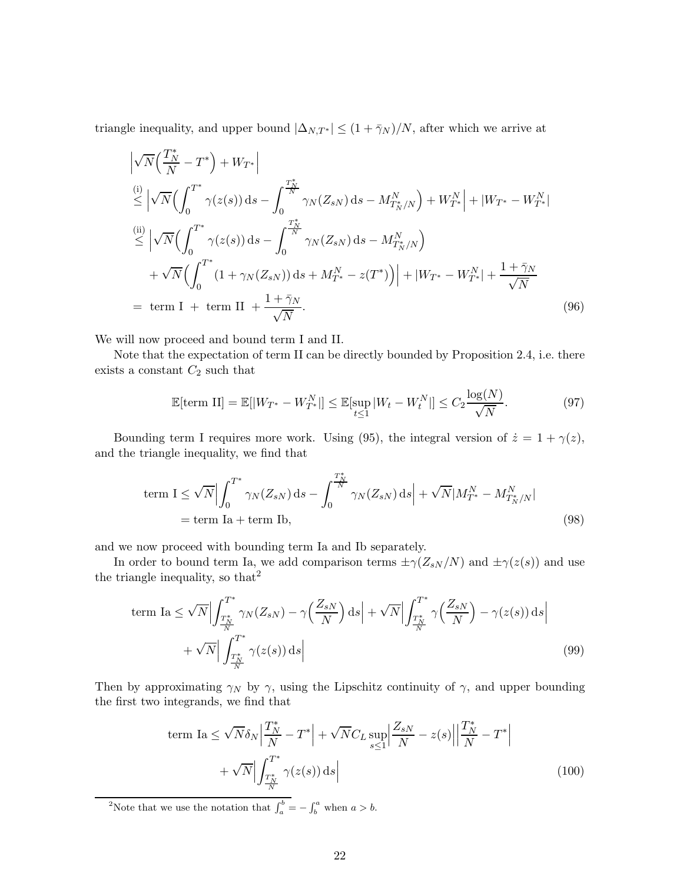triangle inequality, and upper bound  $|\Delta_{N,T^*}| \leq (1 + \bar{\gamma}_N)/N$ , after which we arrive at

$$
\begin{split}\n&\left|\sqrt{N}\left(\frac{T_N^*}{N} - T^*\right) + W_{T^*}\right| \\
&\stackrel{\text{(i)}}{\leq} \left|\sqrt{N}\left(\int_0^{T^*} \gamma(z(s)) \, \mathrm{d} s - \int_0^{\frac{T_N^*}{N}} \gamma_N(Z_{sN}) \, \mathrm{d} s - M_{T_N^*/N}^N\right) + W_{T^*}^N\right| + |W_{T^*} - W_{T^*}^N| \\
&\stackrel{\text{(ii)}}{\leq} \left|\sqrt{N}\left(\int_0^{T^*} \gamma(z(s)) \, \mathrm{d} s - \int_0^{\frac{T_N^*}{N}} \gamma_N(Z_{sN}) \, \mathrm{d} s - M_{T_N^*/N}^N\right)\right. \\
&\left. + \sqrt{N}\left(\int_0^{T^*} (1 + \gamma_N(Z_{sN})) \, \mathrm{d} s + M_{T^*}^N - z(T^*)\right)\right| + |W_{T^*} - W_{T^*}^N| + \frac{1 + \bar{\gamma}_N}{\sqrt{N}} \\
&= \text{term I} + \text{term II} + \frac{1 + \bar{\gamma}_N}{\sqrt{N}}.\n\end{split} \tag{96}
$$

We will now proceed and bound term I and II.

Note that the expectation of term II can be directly bounded by Proposition 2.4, i.e. there exists a constant  $C_2$  such that

$$
\mathbb{E}[\text{term II}] = \mathbb{E}[|W_{T^*} - W_{T^*}^N|] \le \mathbb{E}[\sup_{t \le 1} |W_t - W_t^N|] \le C_2 \frac{\log(N)}{\sqrt{N}}.
$$
\n(97)

Bounding term I requires more work. Using (95), the integral version of  $\dot{z} = 1 + \gamma(z)$ , and the triangle inequality, we find that

term 
$$
I \le \sqrt{N} \Big| \int_0^{T^*} \gamma_N(Z_{sN}) ds - \int_0^{\frac{T_N^*}{N}} \gamma_N(Z_{sN}) ds \Big| + \sqrt{N} |M_{T^*}^N - M_{T_N^*/N}^N|
$$
  
= term Ia + term Ib, (98)

and we now proceed with bounding term Ia and Ib separately.

In order to bound term Ia, we add comparison terms  $\pm \gamma (Z_{sN}/N)$  and  $\pm \gamma (z(s))$  and use the triangle inequality, so that  $2^2$ 

term Ia 
$$
\leq \sqrt{N} \Big| \int_{\frac{T_N^*}{N}}^{T^*} \gamma_N(Z_{sN}) - \gamma \Big(\frac{Z_{sN}}{N}\Big) ds \Big| + \sqrt{N} \Big| \int_{\frac{T_N^*}{N}}^{T^*} \gamma \Big(\frac{Z_{sN}}{N}\Big) - \gamma(z(s)) ds \Big|
$$
  
+  $\sqrt{N} \Big| \int_{\frac{T_N^*}{N}}^{T^*} \gamma(z(s)) ds \Big|$  (99)

Then by approximating  $\gamma_N$  by  $\gamma$ , using the Lipschitz continuity of  $\gamma$ , and upper bounding the first two integrands, we find that

term Ia 
$$
\leq \sqrt{N} \delta_N \left| \frac{T_N^*}{N} - T^* \right| + \sqrt{N} C_L \sup_{s \leq 1} \left| \frac{Z_{sN}}{N} - z(s) \right| \left| \frac{T_N^*}{N} - T^* \right|
$$
  
+  $\sqrt{N} \left| \int_{\frac{T_N^*}{N}}^{T^*} \gamma(z(s)) ds \right|$  (100)

<sup>2</sup>Note that we use the notation that  $\int_a^b = -\int_b^a$  when  $a > b$ .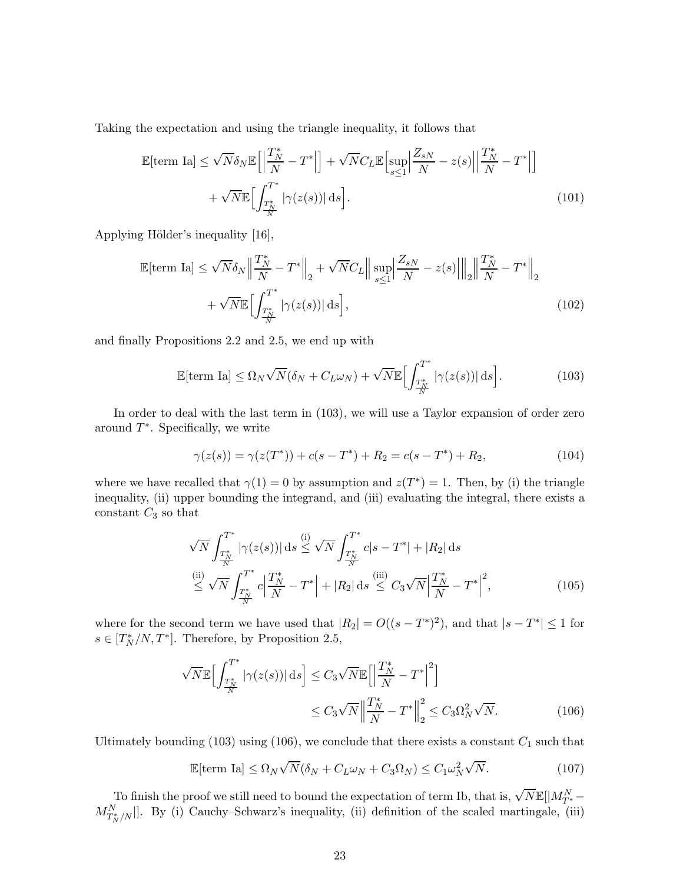Taking the expectation and using the triangle inequality, it follows that

$$
\mathbb{E}[\text{term Ia}] \leq \sqrt{N} \delta_N \mathbb{E}\Big[\Big|\frac{T_N^*}{N} - T^*\Big|\Big] + \sqrt{N} C_L \mathbb{E}\Big[\sup_{s \leq 1} \Big|\frac{Z_{sN}}{N} - z(s)\Big|\Big|\frac{T_N^*}{N} - T^*\Big|\Big] + \sqrt{N} \mathbb{E}\Big[\int_{\frac{T_N^*}{N}}^{T^*} |\gamma(z(s))| ds\Big].
$$
\n(101)

Applying Hölder's inequality [16],

$$
\mathbb{E}[\text{term Ia}] \leq \sqrt{N} \delta_N \left\| \frac{T_N^*}{N} - T^* \right\|_2 + \sqrt{N} C_L \left\| \sup_{s \leq 1} \left| \frac{Z_{sN}}{N} - z(s) \right| \right\|_2 \left\| \frac{T_N^*}{N} - T^* \right\|_2
$$
  
+  $\sqrt{N} \mathbb{E} \Big[ \int_{\frac{T_N^*}{N}}^{T^*} |\gamma(z(s))| ds \Big],$  (102)

and finally Propositions 2.2 and 2.5, we end up with

$$
\mathbb{E}[\text{term Ia}] \le \Omega_N \sqrt{N} (\delta_N + C_L \omega_N) + \sqrt{N} \mathbb{E} \Big[ \int_{\frac{T_N^*}{N}}^{T^*} |\gamma(z(s))| \, ds \Big]. \tag{103}
$$

In order to deal with the last term in (103), we will use a Taylor expansion of order zero around  $T^*$ . Specifically, we write

$$
\gamma(z(s)) = \gamma(z(T^*)) + c(s - T^*) + R_2 = c(s - T^*) + R_2,
$$
\n(104)

where we have recalled that  $\gamma(1) = 0$  by assumption and  $z(T^*) = 1$ . Then, by (i) the triangle inequality, (ii) upper bounding the integrand, and (iii) evaluating the integral, there exists a constant  $C_3$  so that

$$
\sqrt{N} \int_{\frac{T_N^*}{N}}^{T^*} |\gamma(z(s))| ds \le \sqrt{N} \int_{\frac{T_N^*}{N}}^{T^*} c|s - T^*| + |R_2| ds
$$
\n
$$
\stackrel{\text{(ii)}}{\leq} \sqrt{N} \int_{\frac{T_N^*}{N}}^{T^*} c \left| \frac{T_N^*}{N} - T^* \right| + |R_2| ds \le C_3 \sqrt{N} \left| \frac{T_N^*}{N} - T^* \right|^2,
$$
\n
$$
(105)
$$

where for the second term we have used that  $|R_2| = O((s - T^*)^2)$ , and that  $|s - T^*| \le 1$  for  $s \in [T_N^*/N, T^*]$ . Therefore, by Proposition 2.5,

$$
\sqrt{N} \mathbb{E} \Big[ \int_{\frac{T_N^*}{N}}^{T^*} |\gamma(z(s))| ds \Big] \le C_3 \sqrt{N} \mathbb{E} \Big[ \Big| \frac{T_N^*}{N} - T^* \Big|^2 \Big] \n\le C_3 \sqrt{N} \Big\| \frac{T_N^*}{N} - T^* \Big\|_2^2 \le C_3 \Omega_N^2 \sqrt{N}.
$$
\n(106)

Ultimately bounding (103) using (106), we conclude that there exists a constant  $C_1$  such that

$$
\mathbb{E}[\text{term Ia}] \le \Omega_N \sqrt{N} (\delta_N + C_L \omega_N + C_3 \Omega_N) \le C_1 \omega_N^2 \sqrt{N}.
$$
\n(107)

To finish the proof we still need to bound the expectation of term Ib, that is,  $\sqrt{N}\mathbb{E}[|M^N_{T^*}-\rangle]$  $M_{T_N^*/N}^N$ . By (i) Cauchy–Schwarz's inequality, (ii) definition of the scaled martingale, (iii)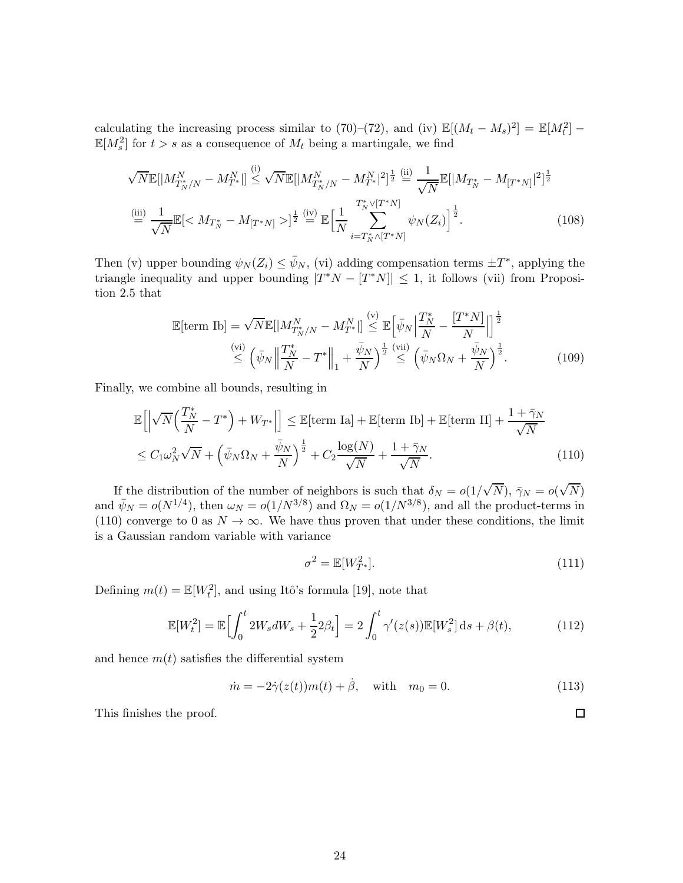calculating the increasing process similar to (70)–(72), and (iv)  $\mathbb{E}[(M_t - M_s)^2] = \mathbb{E}[M_t^2]$  $\mathbb{E}[M_s^2]$  for  $t > s$  as a consequence of  $M_t$  being a martingale, we find

$$
\sqrt{N} \mathbb{E}[|M_{T_N^*/N}^N - M_{T^*}^N|] \stackrel{\text{(i)}}{\leq} \sqrt{N} \mathbb{E}[|M_{T_N^*/N}^N - M_{T^*}^N|^2]^{\frac{1}{2}} \stackrel{\text{(ii)}}{=} \frac{1}{\sqrt{N}} \mathbb{E}[|M_{T_N^*} - M_{[T^*N]}|^2]^{\frac{1}{2}}
$$
  
\n
$$
\stackrel{\text{(iii)}}{=} \frac{1}{\sqrt{N}} \mathbb{E}[ ]^{\frac{1}{2}} \stackrel{\text{(iv)}}{=} \mathbb{E}\Big[\frac{1}{N} \sum_{i=T_N^* \wedge [T^*N]}^{T_N^* \vee [T^*N]} \psi_N(Z_i)\Big]^{\frac{1}{2}}.
$$
\n(108)

Then (v) upper bounding  $\psi_N(Z_i) \leq \bar{\psi}_N$ , (vi) adding compensation terms  $\pm T^*$ , applying the triangle inequality and upper bounding  $|T^*N - [T^*N]| \leq 1$ , it follows (vii) from Proposition 2.5 that

$$
\mathbb{E}[\text{term Ib}] = \sqrt{N} \mathbb{E}[|M_{T_N^*/N}^N - M_{T^*}^N|] \stackrel{\text{(v)}}{\leq} \mathbb{E}\left[\bar{\psi}_N \Big| \frac{T_N^*}{N} - \frac{[T^*N]}{N}\Big|\right]^{\frac{1}{2}} \n\stackrel{\text{(vi)}}{\leq} \left(\bar{\psi}_N \Big| \Big| \frac{T_N^*}{N} - T^* \Big| \Big|_1 + \frac{\bar{\psi}_N}{N}\right)^{\frac{1}{2}} \stackrel{\text{(vii)}}{\leq} \left(\bar{\psi}_N \Omega_N + \frac{\bar{\psi}_N}{N}\right)^{\frac{1}{2}}.
$$
\n(109)

Finally, we combine all bounds, resulting in

$$
\mathbb{E}\left[\left|\sqrt{N}\left(\frac{T_N^*}{N} - T^*\right) + W_{T^*}\right|\right] \le \mathbb{E}[\text{term Ia}] + \mathbb{E}[\text{term Ib}] + \mathbb{E}[\text{term II}] + \frac{1 + \bar{\gamma}_N}{\sqrt{N}}
$$
  

$$
\le C_1 \omega_N^2 \sqrt{N} + \left(\bar{\psi}_N \Omega_N + \frac{\bar{\psi}_N}{N}\right)^{\frac{1}{2}} + C_2 \frac{\log(N)}{\sqrt{N}} + \frac{1 + \bar{\gamma}_N}{\sqrt{N}}.
$$
 (110)

If the distribution of the number of neighbors is such that  $\delta_N = o(1/\sqrt{N})$ ,  $\bar{\gamma}_N = o(\sqrt{N})$ and  $\bar{\psi}_N = o(N^{1/4})$ , then  $\omega_N = o(1/N^{3/8})$  and  $\Omega_N = o(1/N^{3/8})$ , and all the product-terms in (110) converge to 0 as  $N \to \infty$ . We have thus proven that under these conditions, the limit is a Gaussian random variable with variance

$$
\sigma^2 = \mathbb{E}[W_{T^*}^2].\tag{111}
$$

Defining  $m(t) = \mathbb{E}[W_t^2]$ , and using Itô's formula [19], note that

$$
\mathbb{E}[W_t^2] = \mathbb{E}\Big[\int_0^t 2W_s dW_s + \frac{1}{2}2\beta_t\Big] = 2\int_0^t \gamma'(z(s)) \mathbb{E}[W_s^2] ds + \beta(t),\tag{112}
$$

and hence  $m(t)$  satisfies the differential system

$$
\dot{m} = -2\dot{\gamma}(z(t))m(t) + \dot{\beta}, \text{ with } m_0 = 0.
$$
 (113)

This finishes the proof.

 $\Box$